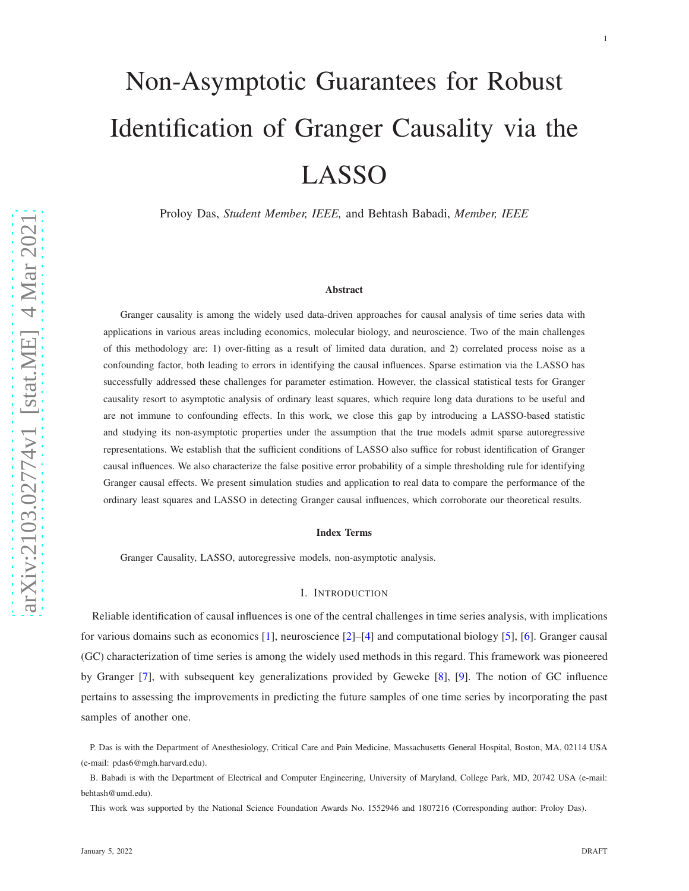# Non-Asymptotic Guarantees for Robust Identification of Granger Causality via the LASSO

Proloy Das, *Student Member, IEEE,* and Behtash Babadi, *Member, IEEE*

#### Abstract

Granger causality is among the widely used data-driven approaches for causal analysis of time series data with applications in various areas including economics, molecular biology, and neuroscience. Two of the main challenges of this methodology are: 1) over-fitting as a result of limited data duration, and 2) correlated process noise as a confounding factor, both leading to errors in identifying the causal influences. Sparse estimation via the LASSO has successfully addressed these challenges for parameter estimation. However, the classical statistical tests for Granger causality resort to asymptotic analysis of ordinary least squares, which require long data durations to be useful and are not immune to confounding effects. In this work, we close this gap by introducing a LASSO-based statistic and studying its non-asymptotic properties under the assumption that the true models admit sparse autoregressive representations. We establish that the sufficient conditions of LASSO also suffice for robust identification of Granger causal influences. We also characterize the false positive error probability of a simple thresholding rule for identifying Granger causal effects. We present simulation studies and application to real data to compare the performance of the ordinary least squares and LASSO in detecting Granger causal influences, which corroborate our theoretical results.

### Index Terms

Granger Causality, LASSO, autoregressive models, non-asymptotic analysis.

#### I. INTRODUCTION

Reliable identification of causal influences is one of the central challenges in time series analysis, with implications for various domains such as economics [ [1\]](#page-23-0), neuroscience [ [2\]](#page-23-1)–[ [4\]](#page-23-2) and computational biology [ [5\]](#page-23-3), [ [6\]](#page-23-4). Granger causal (GC) characterization of time series is among the widely used methods in this regard. This framework was pioneered by Granger [ [7\]](#page-23-5), with subsequent key generalizations provided by Geweke [ [8\]](#page-23-6), [ [9\]](#page-23-7). The notion of GC influence pertains to assessing the improvements in predicting the future samples of one time series by incorporating the past samples of another one.

P. Das is with the Department of Anesthesiology, Critical Care and Pain Medicine, Massachusetts General Hospital, Boston, MA, 02114 USA (e-mail: pdas6@mgh.harvard.edu).

B. Babadi is with the Department of Electrical and Computer Engineering, University of Maryland, College Park, MD, 20742 USA (e-mail: behtash@umd.edu).

This work was supported by the National Science Foundation Awards No. 1552946 and 1807216 (Corresponding author: Proloy Das).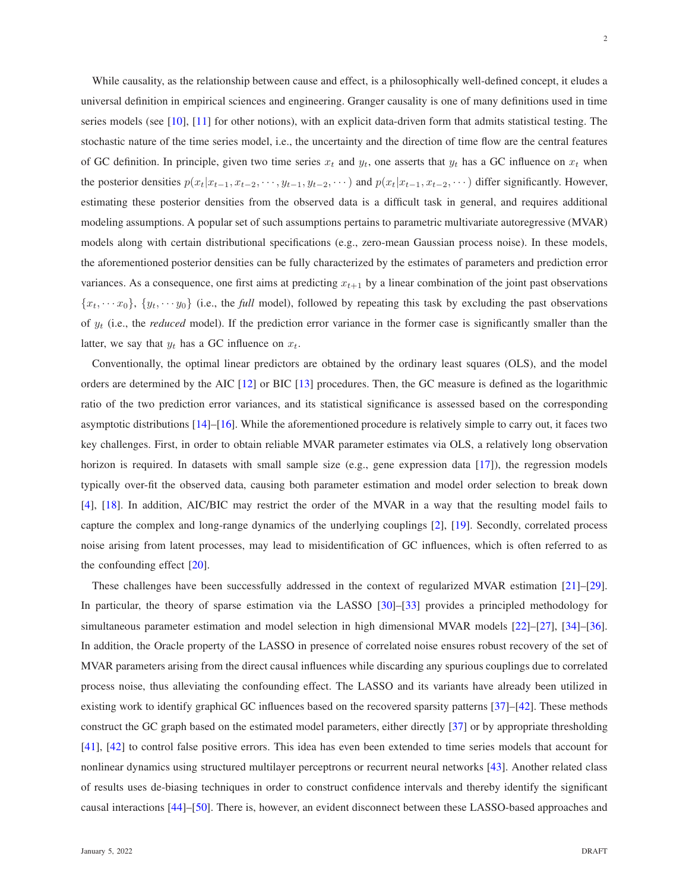While causality, as the relationship between cause and effect, is a philosophically well-defined concept, it eludes a universal definition in empirical sciences and engineering. Granger causality is one of many definitions used in time series models (see [\[10\]](#page-23-8), [\[11\]](#page-23-9) for other notions), with an explicit data-driven form that admits statistical testing. The stochastic nature of the time series model, i.e., the uncertainty and the direction of time flow are the central features of GC definition. In principle, given two time series  $x_t$  and  $y_t$ , one asserts that  $y_t$  has a GC influence on  $x_t$  when the posterior densities  $p(x_t|x_{t-1}, x_{t-2}, \dots, y_{t-1}, y_{t-2}, \dots)$  and  $p(x_t|x_{t-1}, x_{t-2}, \dots)$  differ significantly. However, estimating these posterior densities from the observed data is a difficult task in general, and requires additional modeling assumptions. A popular set of such assumptions pertains to parametric multivariate autoregressive (MVAR) models along with certain distributional specifications (e.g., zero-mean Gaussian process noise). In these models, the aforementioned posterior densities can be fully characterized by the estimates of parameters and prediction error variances. As a consequence, one first aims at predicting  $x_{t+1}$  by a linear combination of the joint past observations  ${x<sub>t</sub>, \cdots x<sub>0</sub>}$ ,  ${y<sub>t</sub>, \cdots y<sub>0</sub>}$  (i.e., the *full* model), followed by repeating this task by excluding the past observations of  $y_t$  (i.e., the *reduced* model). If the prediction error variance in the former case is significantly smaller than the latter, we say that  $y_t$  has a GC influence on  $x_t$ .

Conventionally, the optimal linear predictors are obtained by the ordinary least squares (OLS), and the model orders are determined by the AIC [\[12\]](#page-23-10) or BIC [\[13\]](#page-24-0) procedures. Then, the GC measure is defined as the logarithmic ratio of the two prediction error variances, and its statistical significance is assessed based on the corresponding asymptotic distributions [\[14\]](#page-24-1)–[\[16\]](#page-24-2). While the aforementioned procedure is relatively simple to carry out, it faces two key challenges. First, in order to obtain reliable MVAR parameter estimates via OLS, a relatively long observation horizon is required. In datasets with small sample size (e.g., gene expression data [\[17\]](#page-24-3)), the regression models typically over-fit the observed data, causing both parameter estimation and model order selection to break down [\[4\]](#page-23-2), [\[18\]](#page-24-4). In addition, AIC/BIC may restrict the order of the MVAR in a way that the resulting model fails to capture the complex and long-range dynamics of the underlying couplings [\[2\]](#page-23-1), [\[19\]](#page-24-5). Secondly, correlated process noise arising from latent processes, may lead to misidentification of GC influences, which is often referred to as the confounding effect [\[20\]](#page-24-6).

These challenges have been successfully addressed in the context of regularized MVAR estimation [\[21\]](#page-24-7)–[\[29\]](#page-24-8). In particular, the theory of sparse estimation via the LASSO [\[30\]](#page-24-9)–[\[33\]](#page-24-10) provides a principled methodology for simultaneous parameter estimation and model selection in high dimensional MVAR models [\[22\]](#page-24-11)–[\[27\]](#page-24-12), [\[34\]](#page-24-13)–[\[36\]](#page-24-14). In addition, the Oracle property of the LASSO in presence of correlated noise ensures robust recovery of the set of MVAR parameters arising from the direct causal influences while discarding any spurious couplings due to correlated process noise, thus alleviating the confounding effect. The LASSO and its variants have already been utilized in existing work to identify graphical GC influences based on the recovered sparsity patterns [\[37\]](#page-24-15)–[\[42\]](#page-25-0). These methods construct the GC graph based on the estimated model parameters, either directly [\[37\]](#page-24-15) or by appropriate thresholding [\[41\]](#page-25-1), [\[42\]](#page-25-0) to control false positive errors. This idea has even been extended to time series models that account for nonlinear dynamics using structured multilayer perceptrons or recurrent neural networks [\[43\]](#page-25-2). Another related class of results uses de-biasing techniques in order to construct confidence intervals and thereby identify the significant causal interactions [\[44\]](#page-25-3)–[\[50\]](#page-25-4). There is, however, an evident disconnect between these LASSO-based approaches and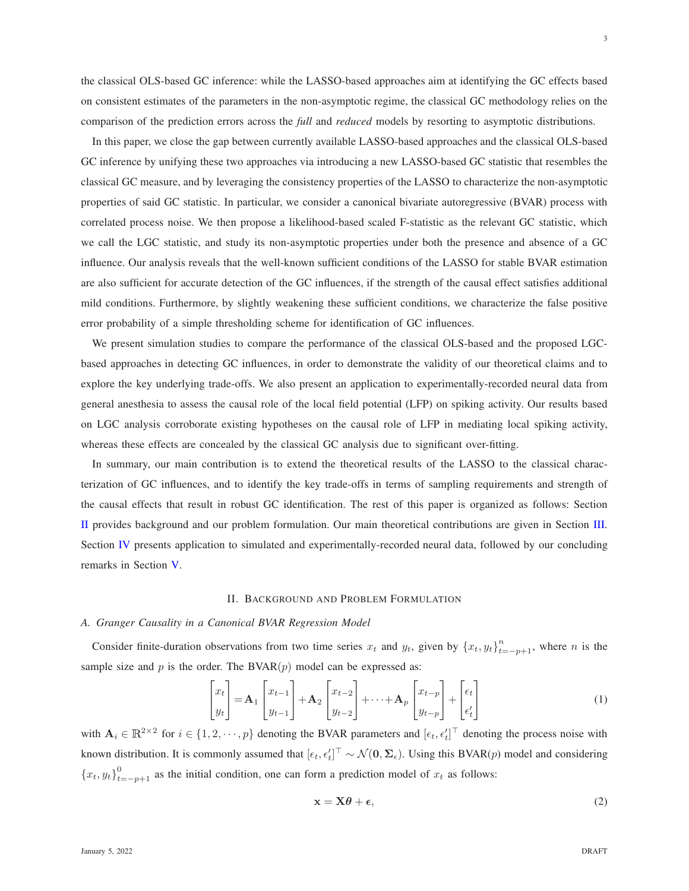the classical OLS-based GC inference: while the LASSO-based approaches aim at identifying the GC effects based on consistent estimates of the parameters in the non-asymptotic regime, the classical GC methodology relies on the comparison of the prediction errors across the *full* and *reduced* models by resorting to asymptotic distributions.

In this paper, we close the gap between currently available LASSO-based approaches and the classical OLS-based GC inference by unifying these two approaches via introducing a new LASSO-based GC statistic that resembles the classical GC measure, and by leveraging the consistency properties of the LASSO to characterize the non-asymptotic properties of said GC statistic. In particular, we consider a canonical bivariate autoregressive (BVAR) process with correlated process noise. We then propose a likelihood-based scaled F-statistic as the relevant GC statistic, which we call the LGC statistic, and study its non-asymptotic properties under both the presence and absence of a GC influence. Our analysis reveals that the well-known sufficient conditions of the LASSO for stable BVAR estimation are also sufficient for accurate detection of the GC influences, if the strength of the causal effect satisfies additional mild conditions. Furthermore, by slightly weakening these sufficient conditions, we characterize the false positive error probability of a simple thresholding scheme for identification of GC influences.

We present simulation studies to compare the performance of the classical OLS-based and the proposed LGCbased approaches in detecting GC influences, in order to demonstrate the validity of our theoretical claims and to explore the key underlying trade-offs. We also present an application to experimentally-recorded neural data from general anesthesia to assess the causal role of the local field potential (LFP) on spiking activity. Our results based on LGC analysis corroborate existing hypotheses on the causal role of LFP in mediating local spiking activity, whereas these effects are concealed by the classical GC analysis due to significant over-fitting.

In summary, our main contribution is to extend the theoretical results of the LASSO to the classical characterization of GC influences, and to identify the key trade-offs in terms of sampling requirements and strength of the causal effects that result in robust GC identification. The rest of this paper is organized as follows: Section [II](#page-2-0) provides background and our problem formulation. Our main theoretical contributions are given in Section [III.](#page-5-0) Section [IV](#page-13-0) presents application to simulated and experimentally-recorded neural data, followed by our concluding remarks in Section [V.](#page-16-0)

#### II. BACKGROUND AND PROBLEM FORMULATION

## <span id="page-2-0"></span>*A. Granger Causality in a Canonical BVAR Regression Model*

Consider finite-duration observations from two time series  $x_t$  and  $y_t$ , given by  $\{x_t, y_t\}_{t=-p+1}^n$ , where n is the sample size and  $p$  is the order. The BVAR $(p)$  model can be expressed as:

$$
\begin{bmatrix} x_t \\ y_t \end{bmatrix} = \mathbf{A}_1 \begin{bmatrix} x_{t-1} \\ y_{t-1} \end{bmatrix} + \mathbf{A}_2 \begin{bmatrix} x_{t-2} \\ y_{t-2} \end{bmatrix} + \dots + \mathbf{A}_p \begin{bmatrix} x_{t-p} \\ y_{t-p} \end{bmatrix} + \begin{bmatrix} \epsilon_t \\ \epsilon'_t \end{bmatrix}
$$
 (1)

with  $A_i \in \mathbb{R}^{2 \times 2}$  for  $i \in \{1, 2, \dots, p\}$  denoting the BVAR parameters and  $[\epsilon_t, \epsilon'_t]^T$  denoting the process noise with known distribution. It is commonly assumed that  $[\epsilon_t, \epsilon'_t]^{\top} \sim \mathcal{N}(\mathbf{0}, \Sigma_{\epsilon})$ . Using this BVAR(p) model and considering  ${x_t, y_t}_{t=-p+1}^0$  as the initial condition, one can form a prediction model of  $x_t$  as follows:

<span id="page-2-2"></span><span id="page-2-1"></span>
$$
\mathbf{x} = \mathbf{X}\boldsymbol{\theta} + \boldsymbol{\epsilon},\tag{2}
$$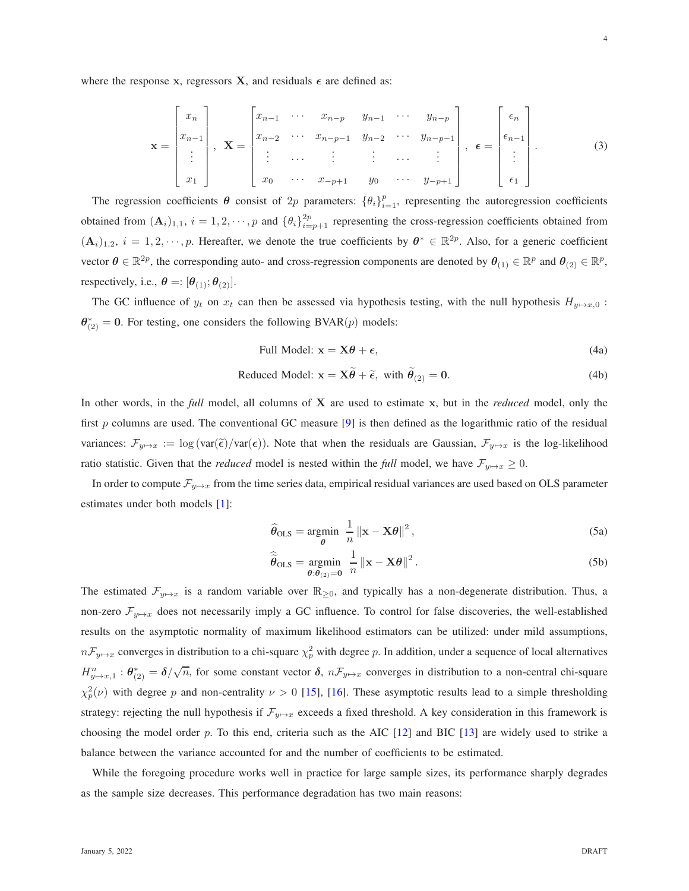where the response x, regressors X, and residuals  $\epsilon$  are defined as:

<span id="page-3-1"></span>
$$
\mathbf{x} = \begin{bmatrix} x_n \\ x_{n-1} \\ \vdots \\ x_1 \end{bmatrix}, \quad \mathbf{X} = \begin{bmatrix} x_{n-1} & \cdots & x_{n-p} & y_{n-1} & \cdots & y_{n-p} \\ x_{n-2} & \cdots & x_{n-p-1} & y_{n-2} & \cdots & y_{n-p-1} \\ \vdots & \cdots & \vdots & \vdots & \cdots & \vdots \\ x_0 & \cdots & x_{-p+1} & y_0 & \cdots & y_{-p+1} \end{bmatrix}, \quad \epsilon = \begin{bmatrix} \epsilon_n \\ \epsilon_{n-1} \\ \vdots \\ \epsilon_1 \end{bmatrix}.
$$
 (3)

The regression coefficients  $\theta$  consist of 2p parameters:  $\{\theta_i\}_{i=1}^p$ , representing the autoregression coefficients obtained from  $(A_i)_{1,1}$ ,  $i = 1, 2, \dots, p$  and  $\{\theta_i\}_{i=p+1}^{2p}$  representing the cross-regression coefficients obtained from  $(A_i)_{1,2}$ ,  $i = 1, 2, \dots, p$ . Hereafter, we denote the true coefficients by  $\theta^* \in \mathbb{R}^{2p}$ . Also, for a generic coefficient vector  $\theta \in \mathbb{R}^{2p}$ , the corresponding auto- and cross-regression components are denoted by  $\theta_{(1)} \in \mathbb{R}^p$  and  $\theta_{(2)} \in \mathbb{R}^p$ , respectively, i.e.,  $\boldsymbol{\theta} =: [\theta_{(1)}; \theta_{(2)}].$ 

The GC influence of  $y_t$  on  $x_t$  can then be assessed via hypothesis testing, with the null hypothesis  $H_{y \mapsto x,0}$ :  $\theta_{(2)}^* = 0$ . For testing, one considers the following BVAR(p) models:

Full Model: 
$$
x = X\theta + \epsilon,
$$
 (4a)

Reduced Model: 
$$
\mathbf{x} = \mathbf{X}\widetilde{\boldsymbol{\theta}} + \widetilde{\boldsymbol{\epsilon}}, \text{ with } \widetilde{\boldsymbol{\theta}}_{(2)} = \mathbf{0}.
$$
 (4b)

In other words, in the *full* model, all columns of X are used to estimate x, but in the *reduced* model, only the first  $p$  columns are used. The conventional GC measure [\[9\]](#page-23-7) is then defined as the logarithmic ratio of the residual variances:  $\mathcal{F}_{y\mapsto x} := \log(\text{var}(\tilde{\epsilon})/\text{var}(\epsilon))$ . Note that when the residuals are Gaussian,  $\mathcal{F}_{y\mapsto x}$  is the log-likelihood ratio statistic. Given that the *reduced* model is nested within the *full* model, we have  $\mathcal{F}_{y\mapsto x} \geq 0$ .

In order to compute  $\mathcal{F}_{v\to x}$  from the time series data, empirical residual variances are used based on OLS parameter estimates under both models [\[1\]](#page-23-0):

$$
\widehat{\theta}_{\text{OLS}} = \underset{\theta}{\text{argmin}} \ \frac{1}{n} \left\| \mathbf{x} - \mathbf{X}\theta \right\|^2, \tag{5a}
$$

<span id="page-3-0"></span>
$$
\widehat{\widetilde{\boldsymbol{\theta}}}_{\text{OLS}} = \underset{\boldsymbol{\theta}: \boldsymbol{\theta}_{(2)} = \mathbf{0}}{\text{argmin}} \frac{1}{n} \left\| \mathbf{x} - \mathbf{X}\boldsymbol{\theta} \right\|^2.
$$
 (5b)

The estimated  $\mathcal{F}_{y\mapsto x}$  is a random variable over  $\mathbb{R}_{\geq 0}$ , and typically has a non-degenerate distribution. Thus, a non-zero  $\mathcal{F}_{y\mapsto x}$  does not necessarily imply a GC influence. To control for false discoveries, the well-established results on the asymptotic normality of maximum likelihood estimators can be utilized: under mild assumptions,  $nF_{y\mapsto x}$  converges in distribution to a chi-square  $\chi_p^2$  with degree p. In addition, under a sequence of local alternatives  $H_{y\mapsto x,1}^n : \theta_{(2)}^* = \delta/\sqrt{n}$ , for some constant vector  $\delta$ ,  $n\mathcal{F}_{y\mapsto x}$  converges in distribution to a non-central chi-square  $\chi^2_p(\nu)$  with degree p and non-centrality  $\nu > 0$  [\[15\]](#page-24-16), [\[16\]](#page-24-2). These asymptotic results lead to a simple thresholding strategy: rejecting the null hypothesis if  $\mathcal{F}_{y\mapsto x}$  exceeds a fixed threshold. A key consideration in this framework is choosing the model order p. To this end, criteria such as the AIC  $[12]$  and BIC  $[13]$  are widely used to strike a balance between the variance accounted for and the number of coefficients to be estimated.

While the foregoing procedure works well in practice for large sample sizes, its performance sharply degrades as the sample size decreases. This performance degradation has two main reasons: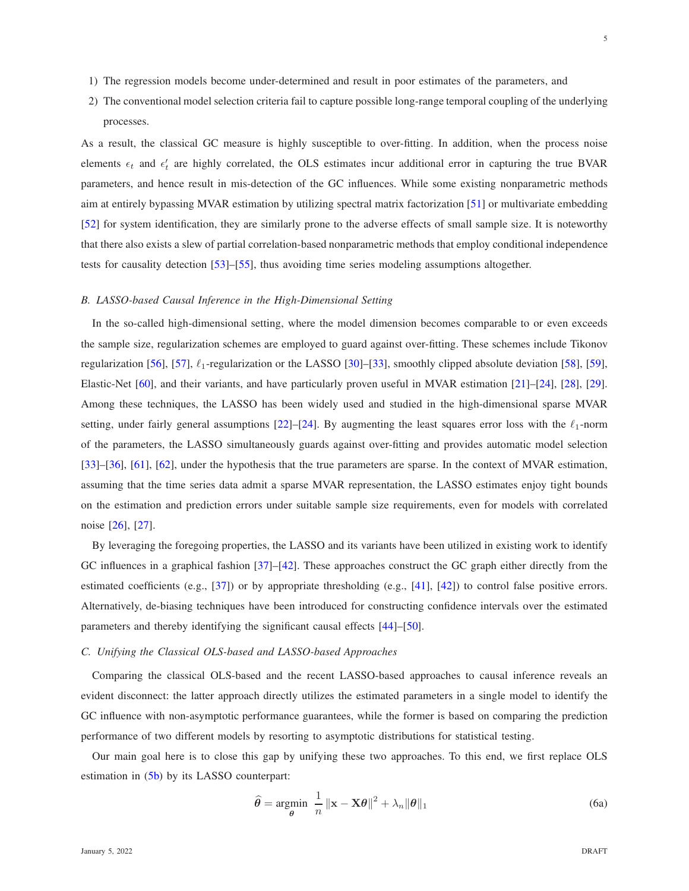- 1) The regression models become under-determined and result in poor estimates of the parameters, and
- 2) The conventional model selection criteria fail to capture possible long-range temporal coupling of the underlying processes.

As a result, the classical GC measure is highly susceptible to over-fitting. In addition, when the process noise elements  $\epsilon_t$  and  $\epsilon'_t$  are highly correlated, the OLS estimates incur additional error in capturing the true BVAR parameters, and hence result in mis-detection of the GC influences. While some existing nonparametric methods aim at entirely bypassing MVAR estimation by utilizing spectral matrix factorization [\[51\]](#page-25-5) or multivariate embedding [\[52\]](#page-25-6) for system identification, they are similarly prone to the adverse effects of small sample size. It is noteworthy that there also exists a slew of partial correlation-based nonparametric methods that employ conditional independence tests for causality detection [\[53\]](#page-25-7)–[\[55\]](#page-25-8), thus avoiding time series modeling assumptions altogether.

#### *B. LASSO-based Causal Inference in the High-Dimensional Setting*

In the so-called high-dimensional setting, where the model dimension becomes comparable to or even exceeds the sample size, regularization schemes are employed to guard against over-fitting. These schemes include Tikonov regularization [\[56\]](#page-25-9), [\[57\]](#page-25-10),  $\ell_1$ -regularization or the LASSO [\[30\]](#page-24-9)–[\[33\]](#page-24-10), smoothly clipped absolute deviation [\[58\]](#page-25-11), [\[59\]](#page-25-12), Elastic-Net [\[60\]](#page-25-13), and their variants, and have particularly proven useful in MVAR estimation [\[21\]](#page-24-7)–[\[24\]](#page-24-17), [\[28\]](#page-24-18), [\[29\]](#page-24-8). Among these techniques, the LASSO has been widely used and studied in the high-dimensional sparse MVAR setting, under fairly general assumptions [\[22\]](#page-24-11)–[\[24\]](#page-24-17). By augmenting the least squares error loss with the  $\ell_1$ -norm of the parameters, the LASSO simultaneously guards against over-fitting and provides automatic model selection [\[33\]](#page-24-10)–[\[36\]](#page-24-14), [\[61\]](#page-25-14), [\[62\]](#page-25-15), under the hypothesis that the true parameters are sparse. In the context of MVAR estimation, assuming that the time series data admit a sparse MVAR representation, the LASSO estimates enjoy tight bounds on the estimation and prediction errors under suitable sample size requirements, even for models with correlated noise [\[26\]](#page-24-19), [\[27\]](#page-24-12).

By leveraging the foregoing properties, the LASSO and its variants have been utilized in existing work to identify GC influences in a graphical fashion [\[37\]](#page-24-15)–[\[42\]](#page-25-0). These approaches construct the GC graph either directly from the estimated coefficients (e.g., [\[37\]](#page-24-15)) or by appropriate thresholding (e.g., [\[41\]](#page-25-1), [\[42\]](#page-25-0)) to control false positive errors. Alternatively, de-biasing techniques have been introduced for constructing confidence intervals over the estimated parameters and thereby identifying the significant causal effects [\[44\]](#page-25-3)–[\[50\]](#page-25-4).

## <span id="page-4-0"></span>*C. Unifying the Classical OLS-based and LASSO-based Approaches*

Comparing the classical OLS-based and the recent LASSO-based approaches to causal inference reveals an evident disconnect: the latter approach directly utilizes the estimated parameters in a single model to identify the GC influence with non-asymptotic performance guarantees, while the former is based on comparing the prediction performance of two different models by resorting to asymptotic distributions for statistical testing.

Our main goal here is to close this gap by unifying these two approaches. To this end, we first replace OLS estimation in [\(5b\)](#page-3-0) by its LASSO counterpart:

$$
\widehat{\theta} = \underset{\theta}{\text{argmin}} \ \frac{1}{n} \left\| \mathbf{x} - \mathbf{X}\theta \right\|^2 + \lambda_n \|\theta\|_1 \tag{6a}
$$

5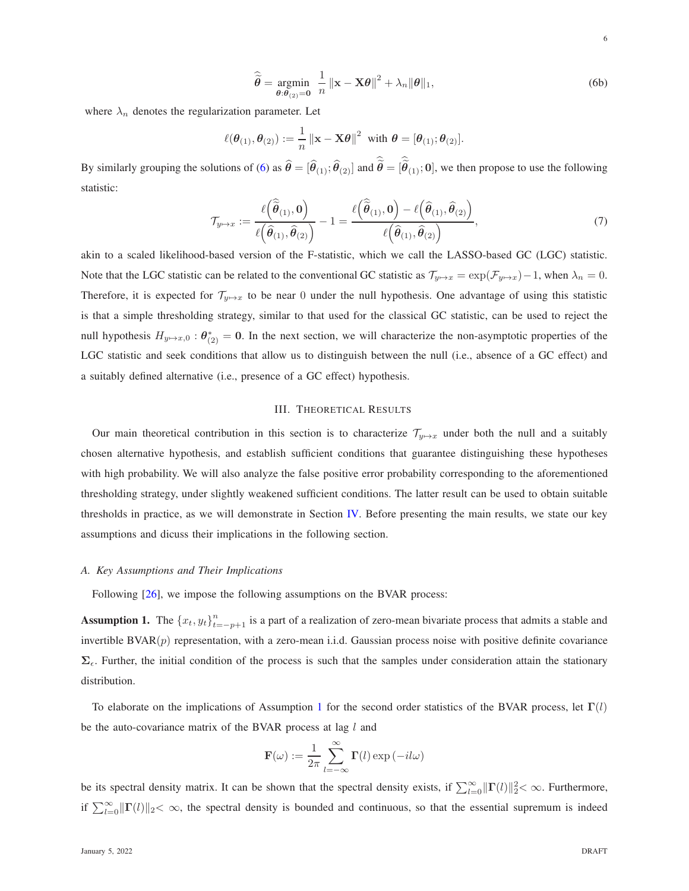<span id="page-5-1"></span>
$$
\widehat{\widetilde{\theta}} = \underset{\theta: \theta(z) = 0}{\text{argmin}} \frac{1}{n} ||\mathbf{x} - \mathbf{X}\theta||^2 + \lambda_n ||\theta||_1,
$$
\n(6b)

where  $\lambda_n$  denotes the regularization parameter. Let

$$
\ell(\boldsymbol{\theta}_{(1)},\boldsymbol{\theta}_{(2)}) := \frac{1}{n} ||\mathbf{x} - \mathbf{X}\boldsymbol{\theta}||^2 \text{ with } \boldsymbol{\theta} = [\boldsymbol{\theta}_{(1)};\boldsymbol{\theta}_{(2)}].
$$

By similarly grouping the solutions of [\(6\)](#page-5-1) as  $\hat{\theta} = [\hat{\theta}_{(1)}; \hat{\theta}_{(2)}]$  and  $\tilde{\theta} = [\tilde{\theta}_{(1)}; 0]$ , we then propose to use the following statistic:

$$
\mathcal{T}_{y \mapsto x} := \frac{\ell\left(\widehat{\widetilde{\boldsymbol{\theta}}}_{(1)}, \mathbf{0}\right)}{\ell\left(\widehat{\boldsymbol{\theta}}_{(1)}, \widehat{\boldsymbol{\theta}}_{(2)}\right)} - 1 = \frac{\ell\left(\widehat{\widetilde{\boldsymbol{\theta}}}_{(1)}, \mathbf{0}\right) - \ell\left(\widehat{\boldsymbol{\theta}}_{(1)}, \widehat{\boldsymbol{\theta}}_{(2)}\right)}{\ell\left(\widehat{\boldsymbol{\theta}}_{(1)}, \widehat{\boldsymbol{\theta}}_{(2)}\right)},\tag{7}
$$

akin to a scaled likelihood-based version of the F-statistic, which we call the LASSO-based GC (LGC) statistic. Note that the LGC statistic can be related to the conventional GC statistic as  $\mathcal{T}_{y\mapsto x} = \exp(\mathcal{F}_{y\mapsto x})-1$ , when  $\lambda_n = 0$ . Therefore, it is expected for  $\mathcal{T}_{y\mapsto x}$  to be near 0 under the null hypothesis. One advantage of using this statistic is that a simple thresholding strategy, similar to that used for the classical GC statistic, can be used to reject the null hypothesis  $H_{y\mapsto x,0}$ :  $\theta_{(2)}^* = 0$ . In the next section, we will characterize the non-asymptotic properties of the LGC statistic and seek conditions that allow us to distinguish between the null (i.e., absence of a GC effect) and a suitably defined alternative (i.e., presence of a GC effect) hypothesis.

## III. THEORETICAL RESULTS

<span id="page-5-0"></span>Our main theoretical contribution in this section is to characterize  $\mathcal{T}_{y\mapsto x}$  under both the null and a suitably chosen alternative hypothesis, and establish sufficient conditions that guarantee distinguishing these hypotheses with high probability. We will also analyze the false positive error probability corresponding to the aforementioned thresholding strategy, under slightly weakened sufficient conditions. The latter result can be used to obtain suitable thresholds in practice, as we will demonstrate in Section [IV.](#page-13-0) Before presenting the main results, we state our key assumptions and dicuss their implications in the following section.

## *A. Key Assumptions and Their Implications*

Following  $[26]$ , we impose the following assumptions on the BVAR process:

**Assumption 1.** The  $\{x_t, y_t\}_{t=-p+1}^n$  is a part of a realization of zero-mean bivariate process that admits a stable and invertible  $\text{BVAR}(p)$  representation, with a zero-mean i.i.d. Gaussian process noise with positive definite covariance  $\Sigma_{\epsilon}$ . Further, the initial condition of the process is such that the samples under consideration attain the stationary distribution.

To elaborate on the implications of Assumption [1](#page-5-2) for the second order statistics of the BVAR process, let  $\Gamma(l)$ be the auto-covariance matrix of the BVAR process at lag  $l$  and

<span id="page-5-2"></span>
$$
\mathbf{F}(\omega) := \frac{1}{2\pi} \sum_{l=-\infty}^{\infty} \mathbf{\Gamma}(l) \exp(-il\omega)
$$

be its spectral density matrix. It can be shown that the spectral density exists, if  $\sum_{l=0}^{\infty} ||\Gamma(l)||_2^2 < \infty$ . Furthermore, if  $\sum_{l=0}^{\infty} ||\Gamma(l)||_2 < \infty$ , the spectral density is bounded and continuous, so that the essential supremum is indeed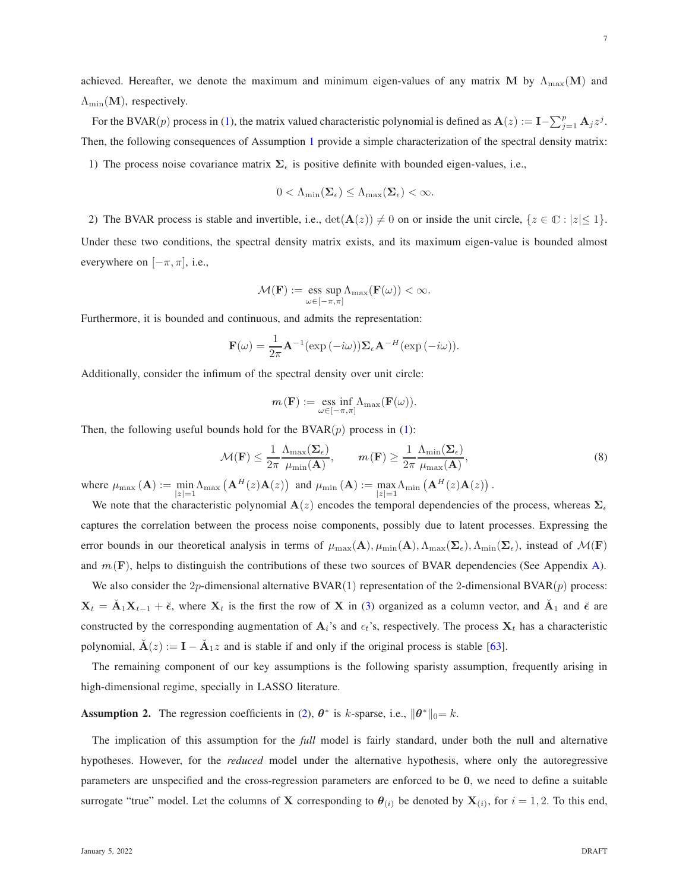achieved. Hereafter, we denote the maximum and minimum eigen-values of any matrix M by  $\Lambda_{\text{max}}(M)$  and  $\Lambda_{\min}(\mathbf{M})$ , respectively.

For the BVAR(p) process in [\(1\)](#page-2-1), the matrix valued characteristic polynomial is defined as  $\mathbf{A}(z) := \mathbf{I} - \sum_{j=1}^{p} \mathbf{A}_{j} z^{j}$ . Then, the following consequences of Assumption [1](#page-5-2) provide a simple characterization of the spectral density matrix: 1) The process noise covariance matrix  $\Sigma_{\epsilon}$  is positive definite with bounded eigen-values, i.e.,

$$
0<\Lambda_{\min}(\boldsymbol{\Sigma}_{\epsilon})\leq\Lambda_{\max}(\boldsymbol{\Sigma}_{\epsilon})<\infty.
$$

2) The BVAR process is stable and invertible, i.e.,  $\det(A(z)) \neq 0$  on or inside the unit circle,  $\{z \in \mathbb{C} : |z| \leq 1\}$ . Under these two conditions, the spectral density matrix exists, and its maximum eigen-value is bounded almost everywhere on  $[-\pi, \pi]$ , i.e.,

$$
\mathcal{M}(\mathbf{F}) := \operatorname*{ess\; sup}_{\omega \in [-\pi,\pi]} \Lambda_{\max}(\mathbf{F}(\omega)) < \infty.
$$

Furthermore, it is bounded and continuous, and admits the representation:

$$
\mathbf{F}(\omega) = \frac{1}{2\pi} \mathbf{A}^{-1} (\exp(-i\omega)) \mathbf{\Sigma}_{\epsilon} \mathbf{A}^{-H} (\exp(-i\omega)).
$$

Additionally, consider the infimum of the spectral density over unit circle:

$$
m\left(\mathbf{F}\right):=\underset{\omega\in\left[-\pi,\pi\right]}{\mathrm{ess}\,\inf}\Lambda_{\max}(\mathbf{F}(\omega)).
$$

Then, the following useful bounds hold for the  $BVAR(p)$  process in [\(1\)](#page-2-1):

<span id="page-6-0"></span>
$$
\mathcal{M}(\mathbf{F}) \le \frac{1}{2\pi} \frac{\Lambda_{\max}(\Sigma_{\epsilon})}{\mu_{\min}(\mathbf{A})}, \qquad m(\mathbf{F}) \ge \frac{1}{2\pi} \frac{\Lambda_{\min}(\Sigma_{\epsilon})}{\mu_{\max}(\mathbf{A})},
$$
\n(8)

where  $\mu_{\max}(\mathbf{A}) := \min_{|z|=1} \Lambda_{\max}(\mathbf{A}^H(z)\mathbf{A}(z))$  and  $\mu_{\min}(\mathbf{A}) := \max_{|z|=1} \Lambda_{\min}(\mathbf{A}^H(z)\mathbf{A}(z))$ .

We note that the characteristic polynomial  $A(z)$  encodes the temporal dependencies of the process, whereas  $\Sigma_{\epsilon}$ captures the correlation between the process noise components, possibly due to latent processes. Expressing the error bounds in our theoretical analysis in terms of  $\mu_{\max}(\mathbf{A}), \mu_{\min}(\mathbf{A}), \Lambda_{\max}(\mathbf{\Sigma}_{\epsilon}), \Lambda_{\min}(\mathbf{\Sigma}_{\epsilon})$ , instead of  $\mathcal{M}(\mathbf{F})$ and  $m(F)$ , helps to distinguish the contributions of these two sources of BVAR dependencies (See Appendix [A\)](#page-17-0).

We also consider the 2p-dimensional alternative  $BVAR(1)$  representation of the 2-dimensional  $BVAR(p)$  process:  $X_t = \check{A}_1 X_{t-1} + \check{\epsilon}$ , where  $X_t$  is the first the row of X in [\(3\)](#page-3-1) organized as a column vector, and  $\check{A}_1$  and  $\check{\epsilon}$  are constructed by the corresponding augmentation of  $A_i$ 's and  $\epsilon_t$ 's, respectively. The process  $X_t$  has a characteristic polynomial,  $\breve{A}(z) := I - \breve{A}_1 z$  and is stable if and only if the original process is stable [\[63\]](#page-25-16).

The remaining component of our key assumptions is the following sparisty assumption, frequently arising in high-dimensional regime, specially in LASSO literature.

**Assumption 2.** The regression coefficients in [\(2\)](#page-2-2),  $\theta^*$  is k-sparse, i.e.,  $\|\theta^*\|_0 = k$ .

The implication of this assumption for the *full* model is fairly standard, under both the null and alternative hypotheses. However, for the *reduced* model under the alternative hypothesis, where only the autoregressive parameters are unspecified and the cross-regression parameters are enforced to be 0, we need to define a suitable surrogate "true" model. Let the columns of **X** corresponding to  $\theta_{(i)}$  be denoted by  $\mathbf{X}_{(i)}$ , for  $i = 1, 2$ . To this end,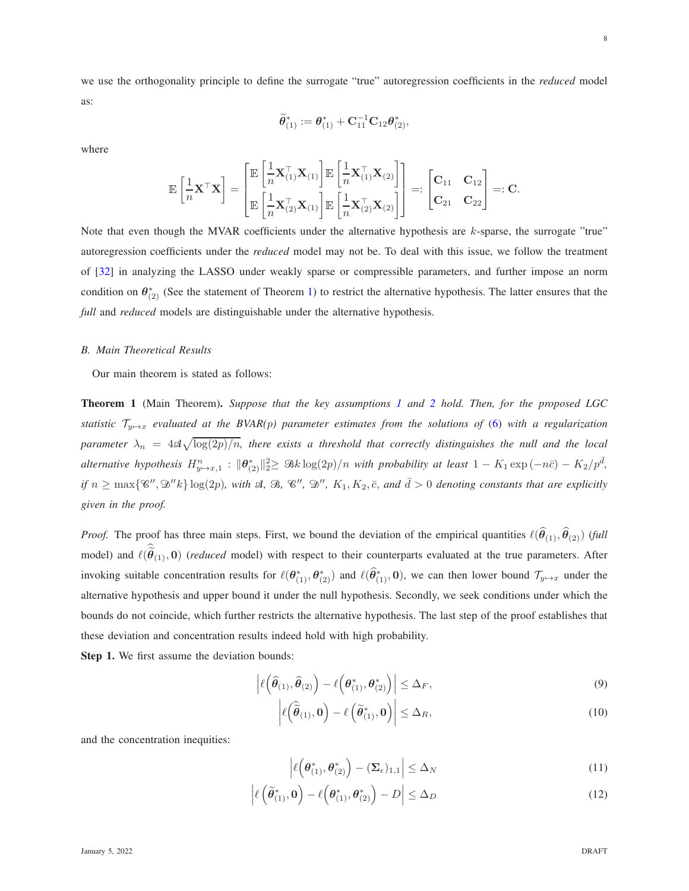we use the orthogonality principle to define the surrogate "true" autoregression coefficients in the *reduced* model as:

$$
\widetilde{\boldsymbol \theta}^*_{(1)}:=\boldsymbol \theta^*_{(1)}+ \mathbf C_{11}^{-1} \mathbf C_{12} \boldsymbol \theta^*_{(2)},
$$

where

$$
\mathbb{E}\left[\frac{1}{n}\mathbf{X}^\top\mathbf{X}\right] = \begin{bmatrix} \mathbb{E}\left[\frac{1}{n}\mathbf{X}_{(1)}^\top\mathbf{X}_{(1)}\right]\mathbb{E}\left[\frac{1}{n}\mathbf{X}_{(1)}^\top\mathbf{X}_{(2)}\right] \\ \mathbb{E}\left[\frac{1}{n}\mathbf{X}_{(2)}^\top\mathbf{X}_{(1)}\right]\mathbb{E}\left[\frac{1}{n}\mathbf{X}_{(2)}^\top\mathbf{X}_{(2)}\right] \end{bmatrix} =: \begin{bmatrix} \mathbf{C}_{11} & \mathbf{C}_{12} \\ \mathbf{C}_{21} & \mathbf{C}_{22} \end{bmatrix} =: \mathbf{C}.
$$

Note that even though the MVAR coefficients under the alternative hypothesis are k-sparse, the surrogate "true" autoregression coefficients under the *reduced* model may not be. To deal with this issue, we follow the treatment of [\[32\]](#page-24-20) in analyzing the LASSO under weakly sparse or compressible parameters, and further impose an norm condition on  $\theta_{(2)}^*$  (See the statement of Theorem [1\)](#page-7-0) to restrict the alternative hypothesis. The latter ensures that the *full* and *reduced* models are distinguishable under the alternative hypothesis.

#### *B. Main Theoretical Results*

Our main theorem is stated as follows:

<span id="page-7-0"></span>Theorem 1 (Main Theorem). *Suppose that the key assumptions [1](#page-5-2) and [2](#page-6-0) hold. Then, for the proposed LGC statistic*  $\mathcal{T}_{y\mapsto x}$  *evaluated at the BVAR(p) parameter estimates from the solutions of* [\(6\)](#page-5-1) *with a regularization*  $p$ arameter  $\lambda_n = 4$ s $\sqrt{\log(2p)/n}$ , there exists a threshold that correctly distinguishes the null and the local  $a$ lternative hypothesis  $H_{y\mapsto x,1}^n$ :  $\|\theta_{(2)}^*\|_2^2 \geq 3k \log(2p)/n$  with probability at least  $1 - K_1 \exp(-n\bar{c}) - K_2/p^{\bar{d}}$ , *if*  $n \ge \max\{\mathscr{C}'', \mathscr{D}''k\}$  log(2p), with  $\mathscr{A}, \mathscr{B}, \mathscr{C}'', \mathscr{D}'', K_1, K_2, \overline{c},$  and  $\overline{d} > 0$  denoting constants that are explicitly *given in the proof.*

*Proof.* The proof has three main steps. First, we bound the deviation of the empirical quantities  $\ell(\theta_{(1)}, \theta_{(2)})$  (full model) and  $\ell(\tilde{\theta}_{(1)}, 0)$  (*reduced* model) with respect to their counterparts evaluated at the true parameters. After invoking suitable concentration results for  $\ell(\theta_{(1)}^*, \theta_{(2)}^*)$  and  $\ell(\widehat{\theta}_{(1)}^*, 0)$ , we can then lower bound  $\mathcal{T}_{y \mapsto x}$  under the alternative hypothesis and upper bound it under the null hypothesis. Secondly, we seek conditions under which the bounds do not coincide, which further restricts the alternative hypothesis. The last step of the proof establishes that these deviation and concentration results indeed hold with high probability.

Step 1. We first assume the deviation bounds:

$$
\left| \ell\left(\widehat{\boldsymbol{\theta}}_{(1)}, \widehat{\boldsymbol{\theta}}_{(2)}\right) - \ell\left(\boldsymbol{\theta}_{(1)}^*, \boldsymbol{\theta}_{(2)}^*\right) \right| \leq \Delta_F,
$$
\n(9)

$$
\left| \ell \left( \widehat{\widetilde{\boldsymbol{\theta}}}_{(1)}, \mathbf{0} \right) - \ell \left( \widetilde{\boldsymbol{\theta}}_{(1)}^*, \mathbf{0} \right) \right| \leq \Delta_R,
$$
\n(10)

and the concentration inequities:

<span id="page-7-4"></span><span id="page-7-3"></span><span id="page-7-2"></span><span id="page-7-1"></span>
$$
\left| \ell\left(\boldsymbol{\theta}_{(1)}^*, \boldsymbol{\theta}_{(2)}^*\right) - (\boldsymbol{\Sigma}_{\epsilon})_{1,1} \right| \leq \Delta_N \tag{11}
$$

$$
\left| \ell \left( \widetilde{\boldsymbol{\theta}}_{(1)}^*, \mathbf{0} \right) - \ell \left( \boldsymbol{\theta}_{(1)}^*, \boldsymbol{\theta}_{(2)}^* \right) - D \right| \leq \Delta_D \tag{12}
$$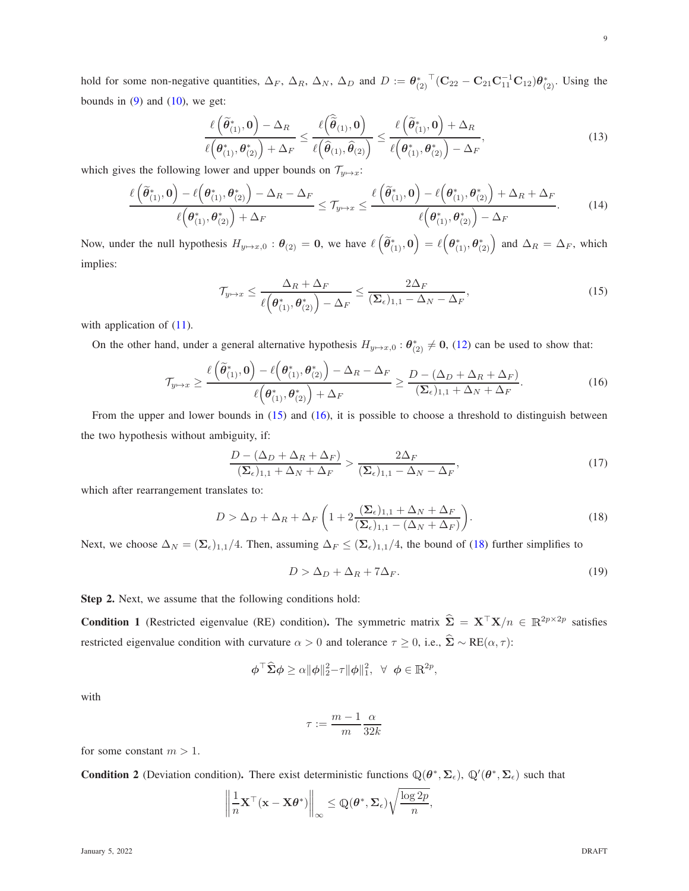hold for some non-negative quantities,  $\Delta_F$ ,  $\Delta_R$ ,  $\Delta_N$ ,  $\Delta_D$  and  $D := \theta_{(2)}^*$ <sup>T</sup> $(C_{22} - C_{21}C_{11}^{-1}C_{12})\theta_{(2)}^*$ . Using the bounds in  $(9)$  and  $(10)$ , we get:

$$
\frac{\ell(\widetilde{\theta}_{(1)}^*,\mathbf{0})-\Delta_R}{\ell(\theta_{(1)}^*,\theta_{(2)}^*)+\Delta_F} \leq \frac{\ell(\widehat{\widetilde{\theta}}_{(1)},\mathbf{0})}{\ell(\widehat{\theta}_{(1)},\widehat{\theta}_{(2)})} \leq \frac{\ell(\widetilde{\theta}_{(1)}^*,\mathbf{0})+\Delta_R}{\ell(\theta_{(1)}^*,\theta_{(2)}^*)-\Delta_F},
$$
\n(13)

which gives the following lower and upper bounds on  $\mathcal{T}_{y \mapsto x}$ :

$$
\frac{\ell\left(\widetilde{\theta}_{(1)}^*,\mathbf{0}\right)-\ell\left(\theta_{(1)}^*,\theta_{(2)}^*\right)-\Delta_R-\Delta_F}{\ell\left(\theta_{(1)}^*,\theta_{(2)}^*\right)+\Delta_F}\leq \mathcal{T}_{y\mapsto x}\leq \frac{\ell\left(\widetilde{\theta}_{(1)}^*,\mathbf{0}\right)-\ell\left(\theta_{(1)}^*,\theta_{(2)}^*\right)+\Delta_R+\Delta_F}{\ell\left(\theta_{(1)}^*,\theta_{(2)}^*\right)-\Delta_F}.\tag{14}
$$

Now, under the null hypothesis  $H_{y\mapsto x,0}$  :  $\theta_{(2)} = 0$ , we have  $\ell\left(\widetilde{\theta}_{(1)}^*,0\right) = \ell\left(\theta_{(1)}^*,\theta_{(2)}^*\right)$  and  $\Delta_R = \Delta_F$ , which implies:

<span id="page-8-0"></span>
$$
\mathcal{T}_{y \mapsto x} \le \frac{\Delta_R + \Delta_F}{\ell\left(\theta_{(1)}^*, \theta_{(2)}^*\right) - \Delta_F} \le \frac{2\Delta_F}{(\Sigma_{\epsilon})_{1,1} - \Delta_N - \Delta_F},\tag{15}
$$

with application of  $(11)$ .

On the other hand, under a general alternative hypothesis  $H_{y\mapsto x,0}$  :  $\theta_{(2)}^* \neq 0$ , [\(12\)](#page-7-4) can be used to show that:

$$
\mathcal{T}_{y \mapsto x} \ge \frac{\ell\left(\widetilde{\theta}_{(1)}^*, \mathbf{0}\right) - \ell\left(\theta_{(1)}^*, \theta_{(2)}^*\right) - \Delta_R - \Delta_F}{\ell\left(\theta_{(1)}^*, \theta_{(2)}^*\right) + \Delta_F} \ge \frac{D - (\Delta_D + \Delta_R + \Delta_F)}{(\Sigma_{\epsilon})_{1,1} + \Delta_N + \Delta_F}.
$$
\n(16)

From the upper and lower bounds in [\(15\)](#page-8-0) and [\(16\)](#page-8-1), it is possible to choose a threshold to distinguish between the two hypothesis without ambiguity, if:

$$
\frac{D - (\Delta_D + \Delta_R + \Delta_F)}{(\Sigma_{\epsilon})_{1,1} + \Delta_N + \Delta_F} > \frac{2\Delta_F}{(\Sigma_{\epsilon})_{1,1} - \Delta_N - \Delta_F},\tag{17}
$$

which after rearrangement translates to:

$$
D > \Delta_D + \Delta_R + \Delta_F \left( 1 + 2 \frac{(\Sigma_{\epsilon})_{1,1} + \Delta_N + \Delta_F}{(\Sigma_{\epsilon})_{1,1} - (\Delta_N + \Delta_F)} \right).
$$
 (18)

Next, we choose  $\Delta_N = (\Sigma_{\epsilon})_{1,1}/4$ . Then, assuming  $\Delta_F \le (\Sigma_{\epsilon})_{1,1}/4$ , the bound of [\(18\)](#page-8-2) further simplifies to

<span id="page-8-3"></span><span id="page-8-2"></span><span id="page-8-1"></span>
$$
D > \Delta_D + \Delta_R + 7\Delta_F. \tag{19}
$$

Step 2. Next, we assume that the following conditions hold:

<span id="page-8-4"></span>**Condition 1** (Restricted eigenvalue (RE) condition). The symmetric matrix  $\hat{\Sigma} = \mathbf{X}^{\top} \mathbf{X}/n \in \mathbb{R}^{2p \times 2p}$  satisfies restricted eigenvalue condition with curvature  $\alpha > 0$  and tolerance  $\tau \ge 0$ , i.e.,  $\hat{\Sigma} \sim RE(\alpha, \tau)$ :

$$
\boldsymbol{\phi}^{\top} \widehat{\boldsymbol{\Sigma}} \boldsymbol{\phi} \geq \alpha \|\boldsymbol{\phi}\|_{2}^{2} - \tau \|\boldsymbol{\phi}\|_{1}^{2}, \ \ \forall \ \ \boldsymbol{\phi} \in \mathbb{R}^{2p},
$$

with

$$
\tau:=\frac{m-1}{m}\frac{\alpha}{32k}
$$

for some constant  $m > 1$ .

<span id="page-8-5"></span>**Condition 2** (Deviation condition). There exist deterministic functions  $\mathbb{Q}(\theta^*, \Sigma_{\epsilon})$ ,  $\mathbb{Q}'(\theta^*, \Sigma_{\epsilon})$  such that

$$
\left\|\frac{1}{n}\mathbf{X}^{\top}(\mathbf{x}-\mathbf{X}\boldsymbol{\theta}^*)\right\|_{\infty}\leq \mathbb{Q}(\boldsymbol{\theta}^*,\boldsymbol{\Sigma}_{\epsilon})\sqrt{\frac{\log 2p}{n}},
$$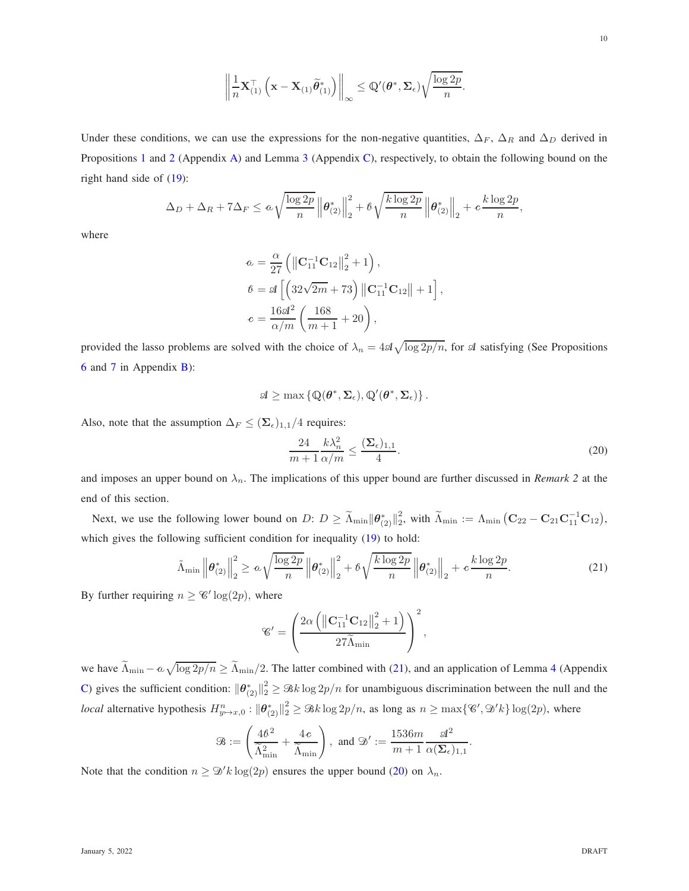$$
\left\|\frac{1}{n}\mathbf{X}_{(1)}^{\top}\left(\mathbf{x}-\mathbf{X}_{(1)}\widetilde{\boldsymbol{\theta}}_{(1)}^*\right)\right\|_{\infty}\leq \mathbb{Q}'(\boldsymbol{\theta}^*,\boldsymbol{\Sigma}_{\epsilon})\sqrt{\frac{\log 2p}{n}}.
$$

Under these conditions, we can use the expressions for the non-negative quantities,  $\Delta_F$ ,  $\Delta_R$  and  $\Delta_D$  derived in Propositions [1](#page-17-1) and [2](#page-17-2) (Appendix [A\)](#page-17-0) and Lemma [3](#page-22-0) (Appendix [C\)](#page-21-0), respectively, to obtain the following bound on the right hand side of [\(19\)](#page-8-3):

$$
\Delta_D+\Delta_R+7\Delta_F\leq a\sqrt{\frac{\log 2p}{n}}\left\|\boldsymbol{\theta}_{(2)}^*\right\|_2^2+\beta\sqrt{\frac{k\log 2p}{n}}\left\|\boldsymbol{\theta}_{(2)}^*\right\|_2+c\frac{k\log 2p}{n},
$$

where

$$
a = \frac{\alpha}{27} \left( \left\| \mathbf{C}_{11}^{-1} \mathbf{C}_{12} \right\|_{2}^{2} + 1 \right),
$$
  
\n
$$
b = \mathcal{A} \left[ \left( 32\sqrt{2m} + 73 \right) \left\| \mathbf{C}_{11}^{-1} \mathbf{C}_{12} \right\| + 1 \right],
$$
  
\n
$$
c = \frac{16\mathcal{A}^{2}}{\alpha/m} \left( \frac{168}{m+1} + 20 \right),
$$

provided the lasso problems are solved with the choice of  $\lambda_n = 4 \mathcal{A} \sqrt{\log 2p/n}$ , for  $\mathcal A$  satisfying (See Propositions [6](#page-20-0) and [7](#page-20-1) in Appendix [B\)](#page-20-2):

$$
\mathscr{A}\geq \max\left\{\mathbb{Q}(\boldsymbol{\theta}^*,\boldsymbol{\Sigma}_{\varepsilon}),\mathbb{Q}'(\boldsymbol{\theta}^*,\boldsymbol{\Sigma}_{\varepsilon})\right\}.
$$

Also, note that the assumption  $\Delta_F \leq (\Sigma_{\epsilon})_{1,1}/4$  requires:

<span id="page-9-1"></span>
$$
\frac{24}{m+1} \frac{k\lambda_n^2}{\alpha/m} \le \frac{(\Sigma_{\epsilon})_{1,1}}{4}.\tag{20}
$$

<span id="page-9-0"></span>.

and imposes an upper bound on  $\lambda_n$ . The implications of this upper bound are further discussed in *Remark 2* at the end of this section.

Next, we use the following lower bound on  $D: D \geq \widetilde{\Lambda}_{\min} ||\theta^*_{(2)}||_2^2$  $\frac{2}{2}$ , with  $\widetilde{\Lambda}_{\text{min}} := \Lambda_{\text{min}} \left( \mathbf{C}_{22} - \mathbf{C}_{21} \mathbf{C}_{11}^{-1} \mathbf{C}_{12} \right)$ , which gives the following sufficient condition for inequality [\(19\)](#page-8-3) to hold:

$$
\tilde{\Lambda}_{\min} \left\| \boldsymbol{\theta}_{(2)}^* \right\|_2^2 \ge \alpha \sqrt{\frac{\log 2p}{n}} \left\| \boldsymbol{\theta}_{(2)}^* \right\|_2^2 + \beta \sqrt{\frac{k \log 2p}{n}} \left\| \boldsymbol{\theta}_{(2)}^* \right\|_2 + c \frac{k \log 2p}{n}.
$$
\n(21)

By further requiring  $n \geq \mathcal{C}' \log(2p)$ , where

$$
\mathscr{C}' = \left(\frac{2\alpha \left(\left\|\mathbf{C}_{11}^{-1}\mathbf{C}_{12}\right\|_{2}^{2} + 1\right)}{27\widetilde{\Lambda}_{\min}}\right)^{2},\
$$

we have  $\widetilde{\Lambda}_{\min} - \alpha \sqrt{\log 2p/n} \ge \widetilde{\Lambda}_{\min}/2$ . The latter combined with [\(21\)](#page-9-0), and an application of Lemma [4](#page-23-11) (Appendix [C\)](#page-21-0) gives the sufficient condition:  $\|\theta_{(2)}^*\|_2^2 \geq \Re k \log 2p/n$  for unambiguous discrimination between the null and the *local* alternative hypothesis  $H_{y\mapsto x,0}^n : \|\theta_{(2)}^*\|_2^2 \geq \Re k \log 2p/n$ , as long as  $n \geq \max\{\mathscr{C}', \mathscr{D}'k\} \log(2p)$ , where

$$
\mathcal{B}:=\left(\frac{4\hbar^2}{\widetilde{\Lambda}_{\min}^2}+\frac{4\,c}{\widetilde{\Lambda}_{\min}}\right),\ \text{and}\ \mathcal{D}':=\frac{1536m}{m+1}\frac{\mathcal{A}^2}{\alpha(\mathbf{\Sigma}_{\epsilon})_{1,1}}
$$

Note that the condition  $n \geq \mathcal{D}'k \log(2p)$  ensures the upper bound [\(20\)](#page-9-1) on  $\lambda_n$ .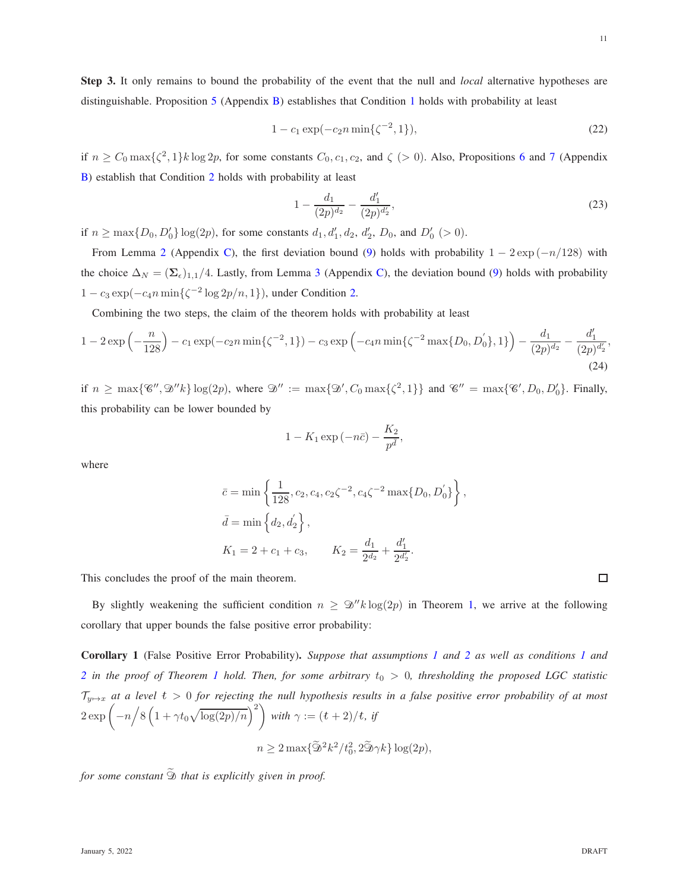$$
1 - c_1 \exp(-c_2 n \min\{\zeta^{-2}, 1\}),\tag{22}
$$

if  $n \geq C_0 \max\{\zeta^2, 1\} k \log 2p$ , for some constants  $C_0, c_1, c_2$ , and  $\zeta > 0$ ). Also, Propositions [6](#page-20-0) and [7](#page-20-1) (Appendix [B\)](#page-20-2) establish that Condition [2](#page-8-5) holds with probability at least

$$
1 - \frac{d_1}{(2p)^{d_2}} - \frac{d'_1}{(2p)^{d'_2}},\tag{23}
$$

if  $n \ge \max\{D_0, D'_0\} \log(2p)$ , for some constants  $d_1, d'_1, d_2, d'_2, D_0$ , and  $D'_0 \ (> 0)$ .

From Lemma [2](#page-21-1) (Appendix [C\)](#page-21-0), the first deviation bound [\(9\)](#page-7-1) holds with probability  $1 - 2 \exp(-n/128)$  with the choice  $\Delta_N = (\Sigma_{\epsilon})_{1,1}/4$ . Lastly, from Lemma [3](#page-22-0) (Appendix [C\)](#page-21-0), the deviation bound [\(9\)](#page-7-1) holds with probability  $1 - c_3 \exp(-c_4 n \min\{\zeta^{-2} \log 2p/n, 1\})$ , under Condition [2.](#page-8-5)

Combining the two steps, the claim of the theorem holds with probability at least

$$
1 - 2\exp\left(-\frac{n}{128}\right) - c_1\exp(-c_2n\min\{\zeta^{-2}, 1\}) - c_3\exp\left(-c_4n\min\{\zeta^{-2}\max\{D_0, D_0'\}, 1\}\right) - \frac{d_1}{(2p)^{d_2}} - \frac{d_1'}{(2p)^{d_2'}}
$$
\n(24)

if  $n \ge \max\{\mathscr{C}', \mathscr{D}''k\} \log(2p)$ , where  $\mathscr{D}'' := \max\{\mathscr{D}', C_0 \max\{\zeta^2, 1\}\}\$  and  $\mathscr{C}'' = \max\{\mathscr{C}', D_0, D'_0\}$ . Finally, this probability can be lower bounded by

$$
1 - K_1 \exp\left(-n\bar{c}\right) - \frac{K_2}{p^{\bar{d}}},
$$

where

$$
\bar{c} = \min \left\{ \frac{1}{128}, c_2, c_4, c_2 \zeta^{-2}, c_4 \zeta^{-2} \max \{ D_0, D_0' \} \right\},\
$$
  

$$
\bar{d} = \min \left\{ d_2, d_2' \right\},\
$$
  

$$
K_1 = 2 + c_1 + c_3, \qquad K_2 = \frac{d_1}{2^{d_2}} + \frac{d_1'}{2^{d_2'}}.
$$

This concludes the proof of the main theorem.

By slightly weakening the sufficient condition  $n \geq \mathcal{D}''k \log(2p)$  in Theorem [1,](#page-7-0) we arrive at the following corollary that upper bounds the false positive error probability:

<span id="page-10-0"></span>Corollary 1 (False Positive Error Probability). *Suppose that assumptions [1](#page-5-2) and [2](#page-6-0) as well as conditions [1](#page-8-4) and* [2](#page-8-5) in the proof of Theorem [1](#page-7-0) hold. Then, for some arbitrary  $t_0 > 0$ , thresholding the proposed LGC statistic Ty7→<sup>x</sup> *at a level* <sup>t</sup> > 0 *for rejecting the null hypothesis results in a false positive error probability of at most*  $2 \exp \left(-n \left/ 8 \left(1 + \gamma t_0 \sqrt{\log(2p)/n}\right)^2\right)\right)$ *with*  $\gamma := (t+2)/t$ *, if*  $n \geq 2 \max{\{\widetilde{\mathcal{D}}^2 k^2/t_0^2, 2\widetilde{\mathcal{D}} \gamma k\}} \log(2p),$ 

*for some constant*  $\widetilde{\mathfrak{D}}$  *that is explicitly given in proof.*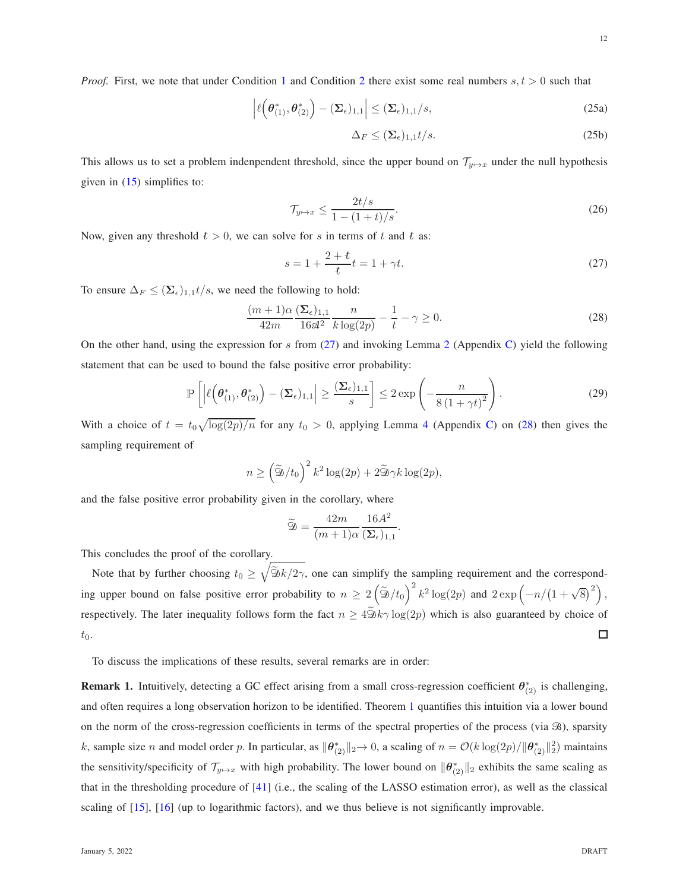<span id="page-11-1"></span><span id="page-11-0"></span>12

*Proof.* First, we note that under Condition [1](#page-8-4) and Condition [2](#page-8-5) there exist some real numbers  $s, t > 0$  such that

$$
\left| \ell\left(\boldsymbol{\theta}_{(1)}^*, \boldsymbol{\theta}_{(2)}^*\right) - (\boldsymbol{\Sigma}_{\epsilon})_{1,1} \right| \leq (\boldsymbol{\Sigma}_{\epsilon})_{1,1}/s,
$$
\n(25a)

$$
\Delta_F \le (\Sigma_{\epsilon})_{1,1} t/s. \tag{25b}
$$

This allows us to set a problem indenpendent threshold, since the upper bound on  $\mathcal{T}_{y\mapsto x}$  under the null hypothesis given in  $(15)$  simplifies to:

$$
\mathcal{T}_{y \mapsto x} \le \frac{2t/s}{1 - (1 + t)/s}.\tag{26}
$$

Now, given any threshold  $t > 0$ , we can solve for s in terms of t and t as:

$$
s = 1 + \frac{2+t}{t}t = 1 + \gamma t.
$$
 (27)

To ensure  $\Delta_F \leq (\Sigma_{\epsilon})_{1,1}t/s$ , we need the following to hold:

$$
\frac{(m+1)\alpha}{42m} \frac{(\Sigma_{\epsilon})_{1,1}}{16\mathcal{A}^2} \frac{n}{k \log(2p)} - \frac{1}{t} - \gamma \ge 0.
$$
 (28)

On the other hand, using the expression for s from [\(27\)](#page-11-0) and invoking Lemma [2](#page-21-1) (Appendix [C\)](#page-21-0) yield the following statement that can be used to bound the false positive error probability:

$$
\mathbb{P}\left[\left|\ell\left(\boldsymbol{\theta}_{(1)}^*,\boldsymbol{\theta}_{(2)}^*\right)-(\boldsymbol{\Sigma}_{\epsilon})_{1,1}\right|\geq \frac{(\boldsymbol{\Sigma}_{\epsilon})_{1,1}}{s}\right]\leq 2\exp\left(-\frac{n}{8\left(1+\gamma t\right)^2}\right).
$$
\n(29)

With a choice of  $t = t_0 \sqrt{\log(2p)/n}$  for any  $t_0 > 0$ , applying Lemma [4](#page-23-11) (Appendix [C\)](#page-21-0) on [\(28\)](#page-11-1) then gives the sampling requirement of

$$
n \ge \left(\widetilde{\mathfrak{D}}/t_0\right)^2 k^2 \log(2p) + 2\widetilde{\mathfrak{D}}\gamma k \log(2p),
$$

and the false positive error probability given in the corollary, where

$$
\widetilde{\mathfrak{D}} = \frac{42m}{(m+1)\alpha} \frac{16A^2}{(\mathbf{\Sigma}_{\epsilon})_{1,1}}.
$$

This concludes the proof of the corollary.

Note that by further choosing  $t_0 \geq \sqrt{\frac{\tilde{\mathcal{D}}k}{2\gamma}}$ , one can simplify the sampling requirement and the corresponding upper bound on false positive error probability to  $n \ge 2(\tilde{D}/t_0)^2 k^2 \log(2p)$  and  $2 \exp(-n/(1+\sqrt{8})^2)$ , respectively. The later inequality follows form the fact  $n \geq 4\widetilde{\mathfrak{D}}k\gamma \log(2p)$  which is also guaranteed by choice of  $t_0$ . □

To discuss the implications of these results, several remarks are in order:

**Remark 1.** Intuitively, detecting a GC effect arising from a small cross-regression coefficient  $\theta^*_{(2)}$  is challenging, and often requires a long observation horizon to be identified. Theorem [1](#page-7-0) quantifies this intuition via a lower bound on the norm of the cross-regression coefficients in terms of the spectral properties of the process (via  $\mathcal{B}$ ), sparsity k, sample size n and model order p. In particular, as  $\|\theta_{(2)}^*\|_2 \to 0$ , a scaling of  $n = \mathcal{O}(k \log(2p) / \|\theta_{(2)}^*\|_2^2)$  maintains the sensitivity/specificity of  $\mathcal{T}_{y\mapsto x}$  with high probability. The lower bound on  $\|\theta^*_{(2)}\|_2$  exhibits the same scaling as that in the thresholding procedure of [\[41\]](#page-25-1) (i.e., the scaling of the LASSO estimation error), as well as the classical scaling of [\[15\]](#page-24-16), [\[16\]](#page-24-2) (up to logarithmic factors), and we thus believe is not significantly improvable.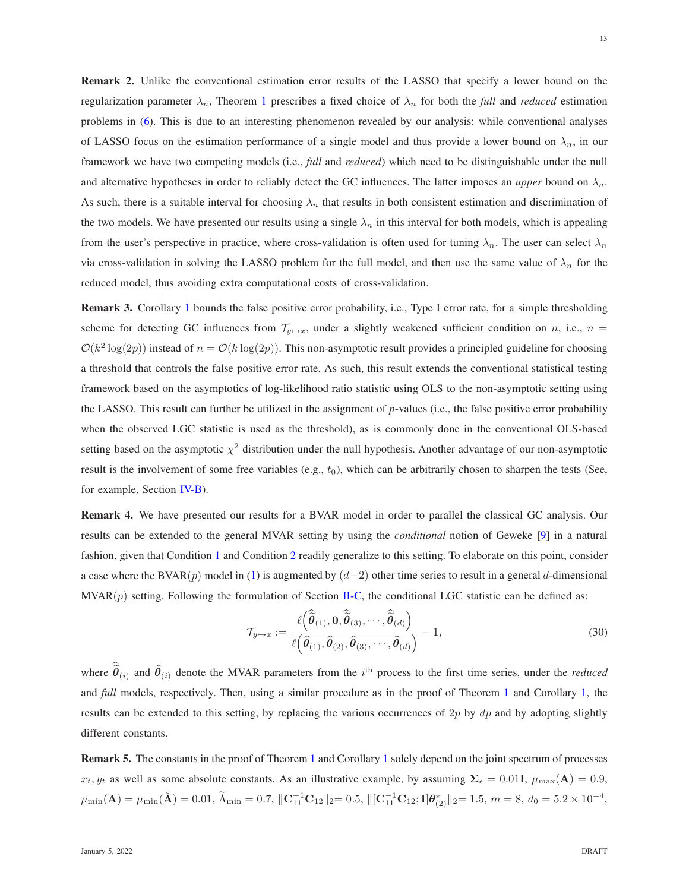Remark 2. Unlike the conventional estimation error results of the LASSO that specify a lower bound on the regularization parameter  $\lambda_n$ , Theorem [1](#page-7-0) prescribes a fixed choice of  $\lambda_n$  for both the *full* and *reduced* estimation problems in [\(6\)](#page-5-1). This is due to an interesting phenomenon revealed by our analysis: while conventional analyses of LASSO focus on the estimation performance of a single model and thus provide a lower bound on  $\lambda_n$ , in our framework we have two competing models (i.e., *full* and *reduced*) which need to be distinguishable under the null and alternative hypotheses in order to reliably detect the GC influences. The latter imposes an *upper* bound on  $\lambda_n$ . As such, there is a suitable interval for choosing  $\lambda_n$  that results in both consistent estimation and discrimination of the two models. We have presented our results using a single  $\lambda_n$  in this interval for both models, which is appealing from the user's perspective in practice, where cross-validation is often used for tuning  $\lambda_n$ . The user can select  $\lambda_n$ via cross-validation in solving the LASSO problem for the full model, and then use the same value of  $\lambda_n$  for the reduced model, thus avoiding extra computational costs of cross-validation.

Remark 3. Corollary [1](#page-10-0) bounds the false positive error probability, i.e., Type I error rate, for a simple thresholding scheme for detecting GC influences from  $\mathcal{T}_{w\mapsto x}$ , under a slightly weakened sufficient condition on n, i.e.,  $n =$  $\mathcal{O}(k^2 \log(2p))$  instead of  $n = \mathcal{O}(k \log(2p))$ . This non-asymptotic result provides a principled guideline for choosing a threshold that controls the false positive error rate. As such, this result extends the conventional statistical testing framework based on the asymptotics of log-likelihood ratio statistic using OLS to the non-asymptotic setting using the LASSO. This result can further be utilized in the assignment of *p*-values (i.e., the false positive error probability when the observed LGC statistic is used as the threshold), as is commonly done in the conventional OLS-based setting based on the asymptotic  $\chi^2$  distribution under the null hypothesis. Another advantage of our non-asymptotic result is the involvement of some free variables (e.g.,  $t_0$ ), which can be arbitrarily chosen to sharpen the tests (See, for example, Section [IV-B\)](#page-15-0).

Remark 4. We have presented our results for a BVAR model in order to parallel the classical GC analysis. Our results can be extended to the general MVAR setting by using the *conditional* notion of Geweke [\[9\]](#page-23-7) in a natural fashion, given that Condition [1](#page-8-4) and Condition [2](#page-8-5) readily generalize to this setting. To elaborate on this point, consider a case where the BVAR(p) model in [\(1\)](#page-2-1) is augmented by  $(d-2)$  other time series to result in a general d-dimensional  $\text{MVAR}(p)$  setting. Following the formulation of Section [II-C,](#page-4-0) the conditional LGC statistic can be defined as:

$$
\mathcal{T}_{y \mapsto x} := \frac{\ell\left(\widehat{\widehat{\boldsymbol{\theta}}}_{(1)}, \mathbf{0}, \widehat{\widehat{\boldsymbol{\theta}}}_{(3)}, \cdots, \widehat{\widehat{\boldsymbol{\theta}}}_{(d)}\right)}{\ell\left(\widehat{\boldsymbol{\theta}}_{(1)}, \widehat{\boldsymbol{\theta}}_{(2)}, \widehat{\boldsymbol{\theta}}_{(3)}, \cdots, \widehat{\boldsymbol{\theta}}_{(d)}\right)} - 1,
$$
\n(30)

where  $\tilde{\theta}_{(i)}$  and  $\hat{\theta}_{(i)}$  denote the MVAR parameters from the i<sup>th</sup> process to the first time series, under the *reduced* and *full* models, respectively. Then, using a similar procedure as in the proof of Theorem [1](#page-7-0) and Corollary [1,](#page-10-0) the results can be extended to this setting, by replacing the various occurrences of  $2p$  by  $dp$  and by adopting slightly different constants.

Remark 5. The constants in the proof of Theorem [1](#page-7-0) and Corollary [1](#page-10-0) solely depend on the joint spectrum of processes  $x_t, y_t$  as well as some absolute constants. As an illustrative example, by assuming  $\Sigma_{\epsilon} = 0.01$ ,  $\mu_{\text{max}}(A) = 0.9$ ,  $\mu_{\min}(\mathbf{A}) = \mu_{\min}(\mathbf{A}) = 0.01, \ \widetilde{\Lambda}_{\min} = 0.7, \ \|\mathbf{C}_{11}^{-1}\mathbf{C}_{12}\|_2 = 0.5, \ \|\[\mathbf{C}_{11}^{-1}\mathbf{C}_{12}; \mathbf{I}]\boldsymbol{\theta}_{(2)}^*\|_2 = 1.5, \ m = 8, \ d_0 = 5.2 \times 10^{-4},$ 

13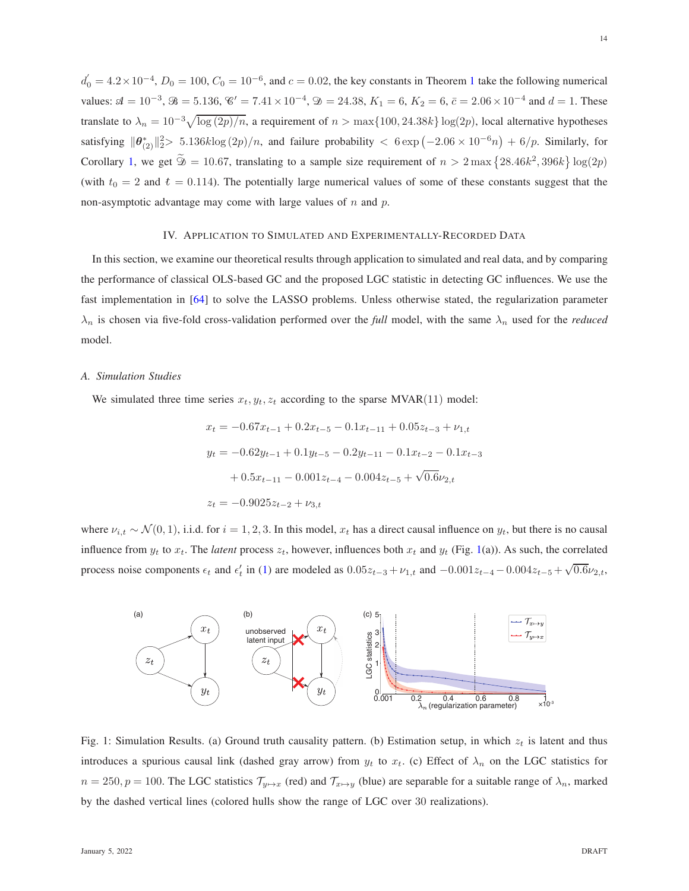$d_0' = 4.2 \times 10^{-4}$  $d_0' = 4.2 \times 10^{-4}$  $d_0' = 4.2 \times 10^{-4}$ ,  $D_0 = 100$ ,  $C_0 = 10^{-6}$ , and  $c = 0.02$ , the key constants in Theorem 1 take the following numerical values:  $\mathcal{A} = 10^{-3}$ ,  $\mathcal{B} = 5.136$ ,  $\mathcal{C}' = 7.41 \times 10^{-4}$ ,  $\mathcal{D} = 24.38$ ,  $K_1 = 6$ ,  $K_2 = 6$ ,  $\bar{c} = 2.06 \times 10^{-4}$  and  $d = 1$ . These translate to  $\lambda_n = 10^{-3} \sqrt{\log (2p)/n}$ , a requirement of  $n > \max\{100, 24.38k\} \log(2p)$ , local alternative hypotheses satisfying  $\|\theta_{(2)}^*\|_2^2 > 5.136k\log(2p)/n$ , and failure probability  $\langle 6 \exp(-2.06 \times 10^{-6}n) + 6/p$ . Similarly, for Corollary [1,](#page-10-0) we get  $\widetilde{\mathfrak{D}} = 10.67$ , translating to a sample size requirement of  $n > 2 \max\{28.46k^2, 396k\} \log(2p)$ (with  $t_0 = 2$  and  $t = 0.114$ ). The potentially large numerical values of some of these constants suggest that the non-asymptotic advantage may come with large values of  $n$  and  $p$ .

# IV. APPLICATION TO SIMULATED AND EXPERIMENTALLY-RECORDED DATA

<span id="page-13-0"></span>In this section, we examine our theoretical results through application to simulated and real data, and by comparing the performance of classical OLS-based GC and the proposed LGC statistic in detecting GC influences. We use the fast implementation in [\[64\]](#page-25-17) to solve the LASSO problems. Unless otherwise stated, the regularization parameter  $\lambda_n$  is chosen via five-fold cross-validation performed over the *full* model, with the same  $\lambda_n$  used for the *reduced* model.

#### *A. Simulation Studies*

We simulated three time series  $x_t, y_t, z_t$  according to the sparse MVAR(11) model:

$$
x_t = -0.67x_{t-1} + 0.2x_{t-5} - 0.1x_{t-11} + 0.05z_{t-3} + \nu_{1,t}
$$
  
\n
$$
y_t = -0.62y_{t-1} + 0.1y_{t-5} - 0.2y_{t-11} - 0.1x_{t-2} - 0.1x_{t-3}
$$
  
\n
$$
+ 0.5x_{t-11} - 0.001z_{t-4} - 0.004z_{t-5} + \sqrt{0.6}\nu_{2,t}
$$
  
\n
$$
z_t = -0.9025z_{t-2} + \nu_{3,t}
$$

where  $\nu_{i,t} \sim \mathcal{N}(0, 1)$ , i.i.d. for  $i = 1, 2, 3$ . In this model,  $x_t$  has a direct causal influence on  $y_t$ , but there is no causal influence from  $y_t$  to  $x_t$ . The *latent* process  $z_t$ , however, influences both  $x_t$  and  $y_t$  (Fig. [1\(](#page-13-1)a)). As such, the correlated process noise components  $\epsilon_t$  and  $\epsilon'_t$  in [\(1\)](#page-2-1) are modeled as  $0.05z_{t-3} + v_{1,t}$  and  $-0.001z_{t-4} - 0.004z_{t-5} + \sqrt{0.6}v_{2,t}$ ,

<span id="page-13-1"></span>

Fig. 1: Simulation Results. (a) Ground truth causality pattern. (b) Estimation setup, in which  $z_t$  is latent and thus introduces a spurious causal link (dashed gray arrow) from  $y_t$  to  $x_t$ . (c) Effect of  $\lambda_n$  on the LGC statistics for  $n = 250, p = 100$ . The LGC statistics  $\mathcal{T}_{y \mapsto x}$  (red) and  $\mathcal{T}_{x \mapsto y}$  (blue) are separable for a suitable range of  $\lambda_n$ , marked by the dashed vertical lines (colored hulls show the range of LGC over 30 realizations).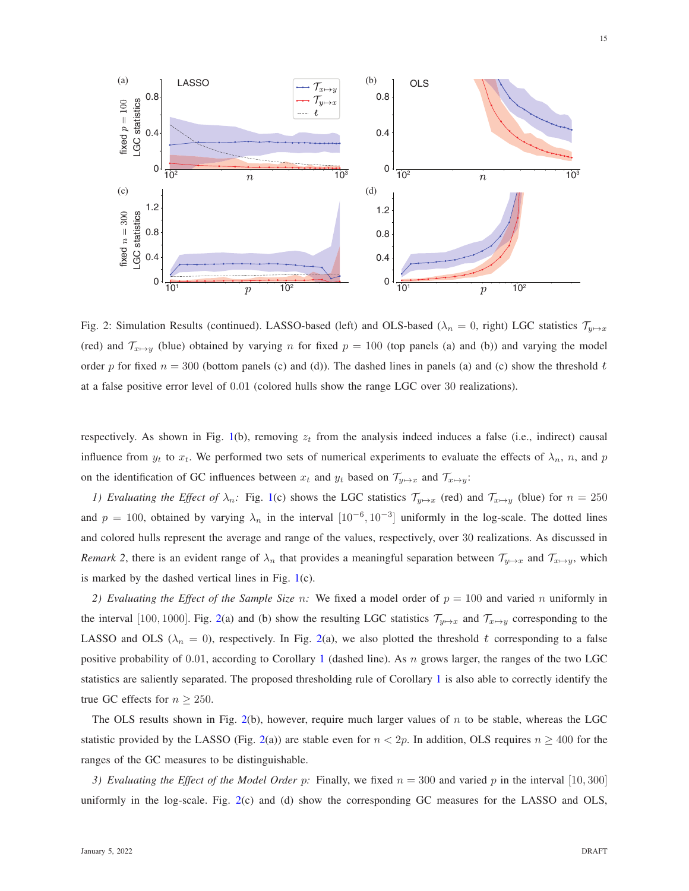<span id="page-14-0"></span>

Fig. 2: Simulation Results (continued). LASSO-based (left) and OLS-based ( $\lambda_n = 0$ , right) LGC statistics  $\mathcal{T}_{y \mapsto x}$ (red) and  $\mathcal{T}_{x\mapsto y}$  (blue) obtained by varying n for fixed  $p = 100$  (top panels (a) and (b)) and varying the model order p for fixed  $n = 300$  (bottom panels (c) and (d)). The dashed lines in panels (a) and (c) show the threshold t at a false positive error level of 0.01 (colored hulls show the range LGC over 30 realizations).

respectively. As shown in Fig. [1\(](#page-13-1)b), removing  $z_t$  from the analysis indeed induces a false (i.e., indirect) causal influence from  $y_t$  to  $x_t$ . We performed two sets of numerical experiments to evaluate the effects of  $\lambda_n$ , n, and p on the identification of GC influences between  $x_t$  and  $y_t$  based on  $\mathcal{T}_{y \mapsto x}$  and  $\mathcal{T}_{x \mapsto y}$ :

*1) Evaluating the Effect of*  $\lambda_n$ : Fig. [1\(](#page-13-1)c) shows the LGC statistics  $\mathcal{T}_{y\mapsto x}$  (red) and  $\mathcal{T}_{x\mapsto y}$  (blue) for  $n = 250$ and  $p = 100$ , obtained by varying  $\lambda_n$  in the interval  $[10^{-6}, 10^{-3}]$  uniformly in the log-scale. The dotted lines and colored hulls represent the average and range of the values, respectively, over 30 realizations. As discussed in *Remark 2*, there is an evident range of  $\lambda_n$  that provides a meaningful separation between  $\mathcal{T}_{y\mapsto x}$  and  $\mathcal{T}_{x\mapsto y}$ , which is marked by the dashed vertical lines in Fig. [1\(](#page-13-1)c).

2) Evaluating the Effect of the Sample Size n: We fixed a model order of  $p = 100$  and varied n uniformly in the interval [100, 1000]. Fig. [2\(](#page-14-0)a) and (b) show the resulting LGC statistics  $\mathcal{T}_{y\mapsto x}$  and  $\mathcal{T}_{x\mapsto y}$  corresponding to the LASSO and OLS ( $\lambda_n = 0$ ), respectively. In Fig. [2\(](#page-14-0)a), we also plotted the threshold t corresponding to a false positive probability of 0.0[1](#page-10-0), according to Corollary 1 (dashed line). As n grows larger, the ranges of the two LGC statistics are saliently separated. The proposed thresholding rule of Corollary [1](#page-10-0) is also able to correctly identify the true GC effects for  $n \ge 250$ .

The OLS results shown in Fig. [2\(](#page-14-0)b), however, require much larger values of  $n$  to be stable, whereas the LGC statistic provided by the LASSO (Fig. [2\(](#page-14-0)a)) are stable even for  $n < 2p$ . In addition, OLS requires  $n \ge 400$  for the ranges of the GC measures to be distinguishable.

*3) Evaluating the Effect of the Model Order p:* Finally, we fixed  $n = 300$  and varied p in the interval [10, 300] uniformly in the log-scale. Fig. [2\(](#page-14-0)c) and (d) show the corresponding GC measures for the LASSO and OLS,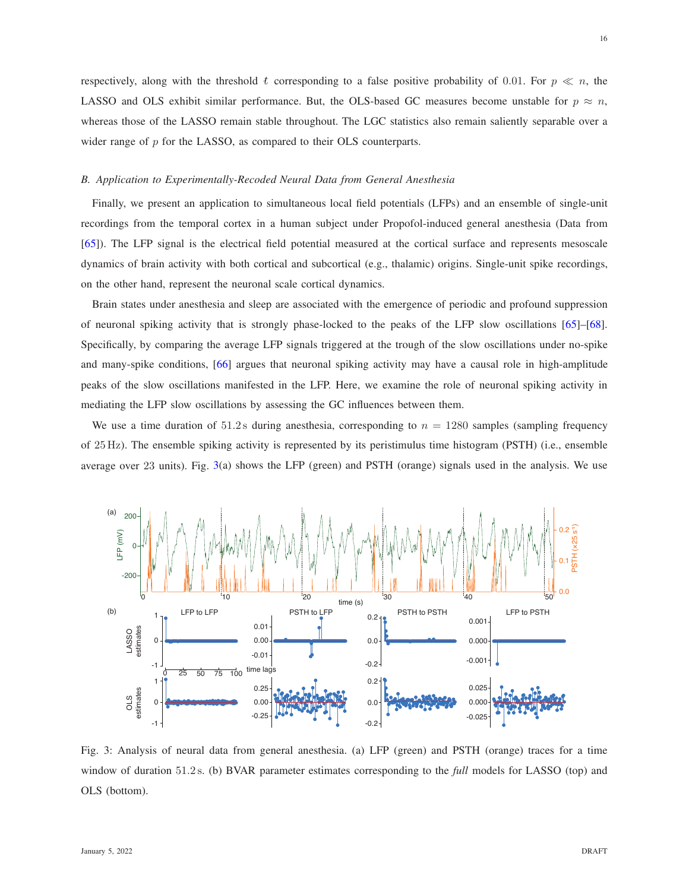respectively, along with the threshold t corresponding to a false positive probability of 0.01. For  $p \ll n$ , the LASSO and OLS exhibit similar performance. But, the OLS-based GC measures become unstable for  $p \approx n$ , whereas those of the LASSO remain stable throughout. The LGC statistics also remain saliently separable over a wider range of p for the LASSO, as compared to their OLS counterparts.

# <span id="page-15-0"></span>*B. Application to Experimentally-Recoded Neural Data from General Anesthesia*

Finally, we present an application to simultaneous local field potentials (LFPs) and an ensemble of single-unit recordings from the temporal cortex in a human subject under Propofol-induced general anesthesia (Data from [\[65\]](#page-25-18)). The LFP signal is the electrical field potential measured at the cortical surface and represents mesoscale dynamics of brain activity with both cortical and subcortical (e.g., thalamic) origins. Single-unit spike recordings, on the other hand, represent the neuronal scale cortical dynamics.

Brain states under anesthesia and sleep are associated with the emergence of periodic and profound suppression of neuronal spiking activity that is strongly phase-locked to the peaks of the LFP slow oscillations [\[65\]](#page-25-18)–[\[68\]](#page-26-0). Specifically, by comparing the average LFP signals triggered at the trough of the slow oscillations under no-spike and many-spike conditions, [\[66\]](#page-25-19) argues that neuronal spiking activity may have a causal role in high-amplitude peaks of the slow oscillations manifested in the LFP. Here, we examine the role of neuronal spiking activity in mediating the LFP slow oscillations by assessing the GC influences between them.

We use a time duration of 51.2s during anesthesia, corresponding to  $n = 1280$  samples (sampling frequency of 25 Hz). The ensemble spiking activity is represented by its peristimulus time histogram (PSTH) (i.e., ensemble average over 23 units). Fig. [3\(](#page-15-1)a) shows the LFP (green) and PSTH (orange) signals used in the analysis. We use

<span id="page-15-1"></span>

Fig. 3: Analysis of neural data from general anesthesia. (a) LFP (green) and PSTH (orange) traces for a time window of duration 51.2 s. (b) BVAR parameter estimates corresponding to the *full* models for LASSO (top) and OLS (bottom).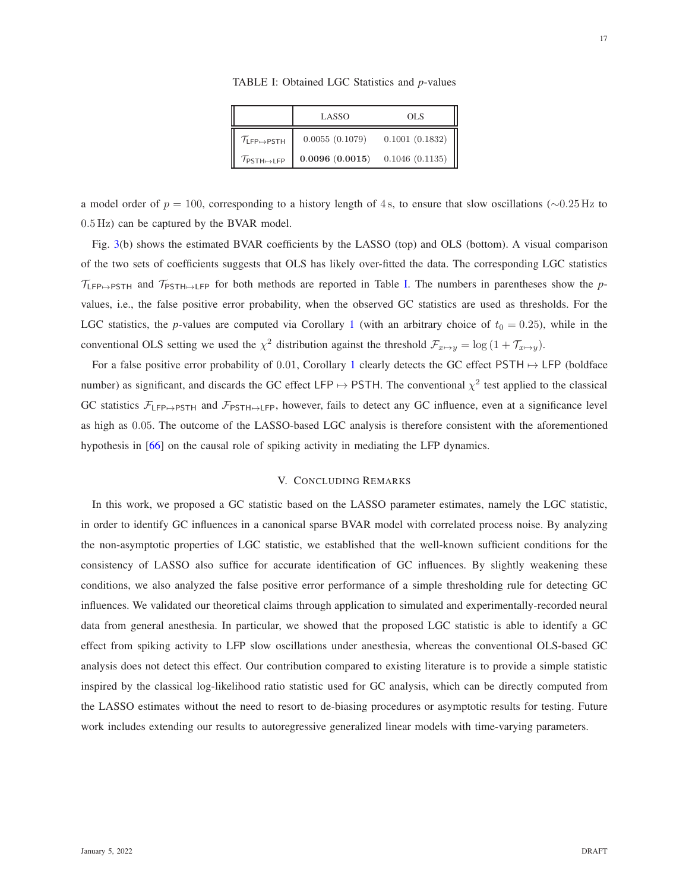TABLE I: Obtained LGC Statistics and *p*-values

|                                                  | LASSO          | OLS            |
|--------------------------------------------------|----------------|----------------|
| $\mathcal{T}_{\mathsf{LFP}\mapsto\mathsf{PSTH}}$ | 0.0055(0.1079) | 0.1001(0.1832) |
| $\mathcal{T}_{\mathsf{PSTH}\mapsto\mathsf{LFP}}$ | 0.0096(0.0015) | 0.1046(0.1135) |

<span id="page-16-1"></span>a model order of  $p = 100$ , corresponding to a history length of 4s, to ensure that slow oscillations (∼0.25 Hz to 0.5 Hz) can be captured by the BVAR model.

Fig. [3\(](#page-15-1)b) shows the estimated BVAR coefficients by the LASSO (top) and OLS (bottom). A visual comparison of the two sets of coefficients suggests that OLS has likely over-fitted the data. The corresponding LGC statistics  $\tau_{\text{LFP}\rightarrow\text{PSTH}}$  and  $\tau_{\text{PSTH}\rightarrow\text{LFP}}$  for both methods are reported in Table [I.](#page-16-1) The numbers in parentheses show the *p*values, i.e., the false positive error probability, when the observed GC statistics are used as thresholds. For the LGC statistics, the *p*-values are computed via Corollary [1](#page-10-0) (with an arbitrary choice of  $t_0 = 0.25$ ), while in the conventional OLS setting we used the  $\chi^2$  distribution against the threshold  $\mathcal{F}_{x\mapsto y} = \log(1 + \mathcal{T}_{x\mapsto y})$ .

For a false positive error probability of 0.0[1](#page-10-0), Corollary 1 clearly detects the GC effect PSTH  $\mapsto$  LFP (boldface number) as significant, and discards the GC effect LFP  $\mapsto$  PSTH. The conventional  $\chi^2$  test applied to the classical GC statistics  $\mathcal{F}_{\textsf{LFP}\mapsto\textsf{PSTH}}$  and  $\mathcal{F}_{\textsf{PSTH}\mapsto\textsf{LFP}}$ , however, fails to detect any GC influence, even at a significance level as high as 0.05. The outcome of the LASSO-based LGC analysis is therefore consistent with the aforementioned hypothesis in [\[66\]](#page-25-19) on the causal role of spiking activity in mediating the LFP dynamics.

## V. CONCLUDING REMARKS

<span id="page-16-0"></span>In this work, we proposed a GC statistic based on the LASSO parameter estimates, namely the LGC statistic, in order to identify GC influences in a canonical sparse BVAR model with correlated process noise. By analyzing the non-asymptotic properties of LGC statistic, we established that the well-known sufficient conditions for the consistency of LASSO also suffice for accurate identification of GC influences. By slightly weakening these conditions, we also analyzed the false positive error performance of a simple thresholding rule for detecting GC influences. We validated our theoretical claims through application to simulated and experimentally-recorded neural data from general anesthesia. In particular, we showed that the proposed LGC statistic is able to identify a GC effect from spiking activity to LFP slow oscillations under anesthesia, whereas the conventional OLS-based GC analysis does not detect this effect. Our contribution compared to existing literature is to provide a simple statistic inspired by the classical log-likelihood ratio statistic used for GC analysis, which can be directly computed from the LASSO estimates without the need to resort to de-biasing procedures or asymptotic results for testing. Future work includes extending our results to autoregressive generalized linear models with time-varying parameters.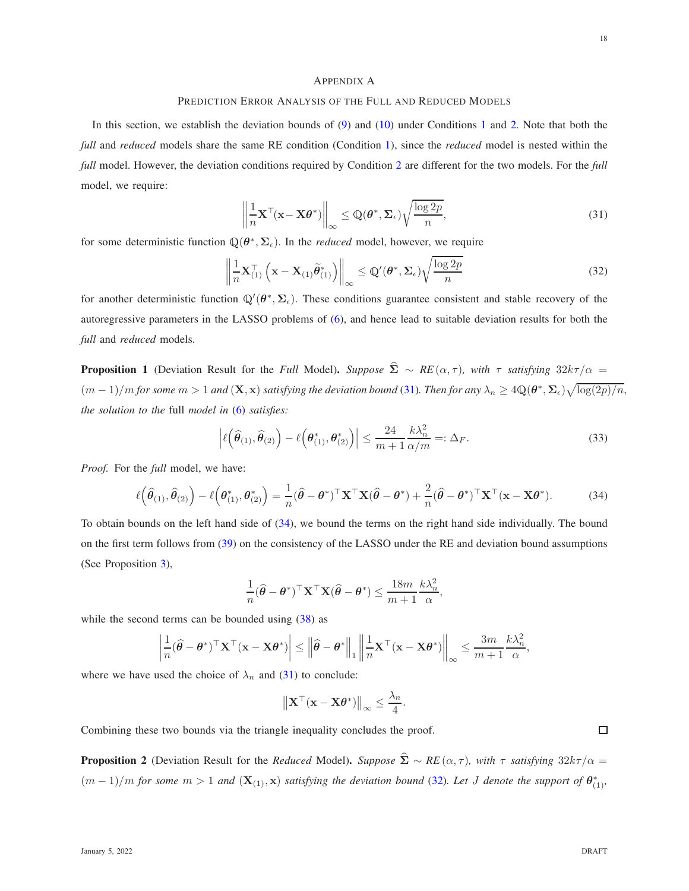## <span id="page-17-5"></span><span id="page-17-3"></span><span id="page-17-0"></span>APPENDIX A

## PREDICTION ERROR ANALYSIS OF THE FULL AND REDUCED MODELS

In this section, we establish the deviation bounds of [\(9\)](#page-7-1) and [\(10\)](#page-7-2) under Conditions [1](#page-8-4) and [2.](#page-8-5) Note that both the *full* and *reduced* models share the same RE condition (Condition [1\)](#page-8-4), since the *reduced* model is nested within the *full* model. However, the deviation conditions required by Condition [2](#page-8-5) are different for the two models. For the *full* model, we require:

$$
\left\| \frac{1}{n} \mathbf{X}^{\top} (\mathbf{x} - \mathbf{X} \boldsymbol{\theta}^*) \right\|_{\infty} \le \mathbb{Q}(\boldsymbol{\theta}^*, \boldsymbol{\Sigma}_{\epsilon}) \sqrt{\frac{\log 2p}{n}},\tag{31}
$$

for some deterministic function  $\mathbb{Q}(\theta^*, \Sigma_{\epsilon})$ . In the *reduced* model, however, we require

$$
\left\| \frac{1}{n} \mathbf{X}_{(1)}^{\top} \left( \mathbf{x} - \mathbf{X}_{(1)} \widetilde{\boldsymbol{\theta}}_{(1)}^* \right) \right\|_{\infty} \leq \mathbb{Q}'(\boldsymbol{\theta}^*, \boldsymbol{\Sigma}_{\epsilon}) \sqrt{\frac{\log 2p}{n}}
$$
(32)

for another deterministic function  $\mathbb{Q}'(\theta^*, \Sigma_{\epsilon})$ . These conditions guarantee consistent and stable recovery of the autoregressive parameters in the LASSO problems of [\(6\)](#page-5-1), and hence lead to suitable deviation results for both the *full* and *reduced* models.

<span id="page-17-1"></span>**Proposition 1** (Deviation Result for the *Full* Model). *Suppose*  $\hat{\Sigma} \sim RE(\alpha, \tau)$ *, with*  $\tau$  *satisfying* 32k $\tau/\alpha$  =  $(m-1)/m$  for some  $m>1$  and  $(X, x)$  satisfying the deviation bound [\(31\)](#page-17-3). Then for any  $\lambda_n \geq 4\mathbb{Q}(\theta^*, \Sigma_{\epsilon})\sqrt{\log(2p)/n}$ , *the solution to the* full *model in* [\(6\)](#page-5-1) *satisfies:*

$$
\left| \ell\left(\widehat{\boldsymbol{\theta}}_{(1)}, \widehat{\boldsymbol{\theta}}_{(2)}\right) - \ell\left(\boldsymbol{\theta}_{(1)}^*, \boldsymbol{\theta}_{(2)}^*\right) \right| \le \frac{24}{m+1} \frac{k\lambda_n^2}{\alpha/m} =: \Delta_F.
$$
\n(33)

*Proof.* For the *full* model, we have:

$$
\ell\left(\widehat{\boldsymbol{\theta}}_{(1)},\widehat{\boldsymbol{\theta}}_{(2)}\right)-\ell\left(\boldsymbol{\theta}_{(1)}^*,\boldsymbol{\theta}_{(2)}^*\right)=\frac{1}{n}(\widehat{\boldsymbol{\theta}}-\boldsymbol{\theta}^*)^\top\mathbf{X}^\top\mathbf{X}(\widehat{\boldsymbol{\theta}}-\boldsymbol{\theta}^*)+\frac{2}{n}(\widehat{\boldsymbol{\theta}}-\boldsymbol{\theta}^*)^\top\mathbf{X}^\top(\mathbf{x}-\mathbf{X}\boldsymbol{\theta}^*).
$$
 (34)

To obtain bounds on the left hand side of [\(34\)](#page-17-4), we bound the terms on the right hand side individually. The bound on the first term follows from [\(39\)](#page-18-0) on the consistency of the LASSO under the RE and deviation bound assumptions (See Proposition [3\)](#page-18-1),

<span id="page-17-4"></span>
$$
\frac{1}{n}(\widehat{\boldsymbol{\theta}} - \boldsymbol{\theta}^*)^\top \mathbf{X}^\top \mathbf{X} (\widehat{\boldsymbol{\theta}} - \boldsymbol{\theta}^*) \le \frac{18m}{m+1} \frac{k \lambda_n^2}{\alpha},
$$

while the second terms can be bounded using  $(38)$  as

$$
\left|\frac{1}{n}(\widehat{\theta}-\theta^*)^\top\mathbf{X}^\top(\mathbf{x}-\mathbf{X}\theta^*)\right|\leq \left\|\widehat{\theta}-\theta^*\right\|_1\left\|\frac{1}{n}\mathbf{X}^\top(\mathbf{x}-\mathbf{X}\theta^*)\right\|_{\infty}\leq \frac{3m}{m+1}\frac{k\lambda_n^2}{\alpha},
$$

where we have used the choice of  $\lambda_n$  and [\(31\)](#page-17-3) to conclude:

$$
\|\mathbf{X}^{\top}(\mathbf{x}-\mathbf{X}\boldsymbol{\theta}^*)\|_{\infty}\leq \frac{\lambda_n}{4}.
$$

Combining these two bounds via the triangle inequality concludes the proof.

<span id="page-17-2"></span>**Proposition 2** (Deviation Result for the *Reduced* Model). *Suppose*  $\hat{\Sigma} \sim RE(\alpha, \tau)$ *, with*  $\tau$  *satisfying* 32k $\tau/\alpha$  =  $(m-1)/m$  *for some*  $m > 1$  *and*  $(X_{(1)}, x)$  *satisfying the deviation bound* [\(32\)](#page-17-5)*. Let J denote the support of*  $\theta_{(1)}^*$ *,*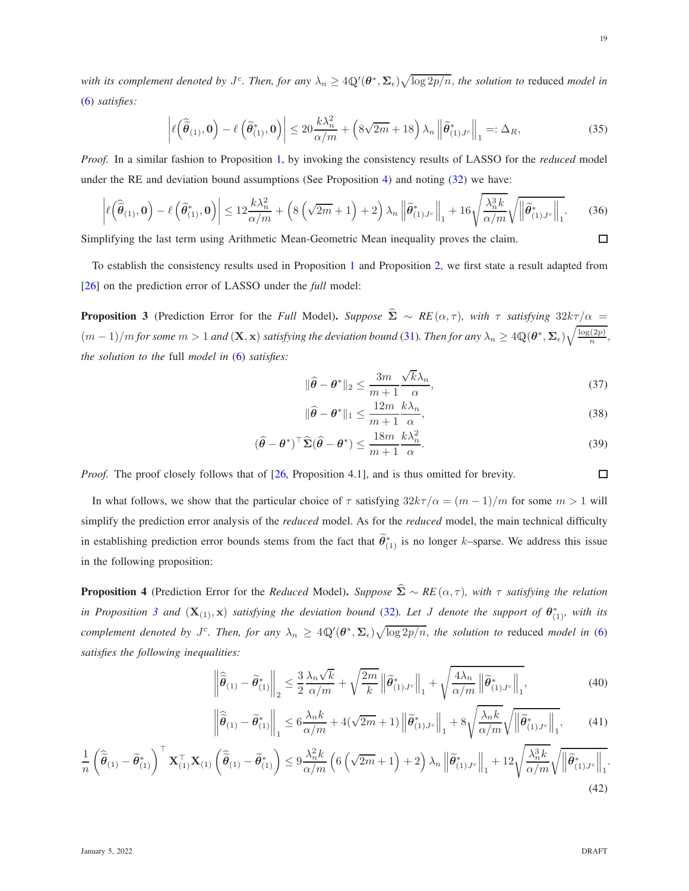with its complement denoted by  $J^c$ . Then, for any  $\lambda_n \geq 4\mathbb{Q}'(\theta^*, \Sigma_\epsilon)\sqrt{\log 2p/n}$ , the solution to reduced model in [\(6\)](#page-5-1) *satisfies:*

$$
\left| \ell \left( \widehat{\widetilde{\theta}}_{(1)}, \mathbf{0} \right) - \ell \left( \widetilde{\theta}_{(1)}^*, \mathbf{0} \right) \right| \le 20 \frac{k \lambda_n^2}{\alpha/m} + \left( 8\sqrt{2m} + 18 \right) \lambda_n \left\| \widetilde{\theta}_{(1)}^* v_n \right\|_1 =: \Delta_R,
$$
\n(35)

*Proof.* In a similar fashion to Proposition [1,](#page-17-1) by invoking the consistency results of LASSO for the *reduced* model under the RE and deviation bound assumptions (See Proposition [4\)](#page-18-3) and noting [\(32\)](#page-17-5) we have:

$$
\left| \ell \left( \widehat{\tilde{\theta}}_{(1)}, 0 \right) - \ell \left( \widetilde{\theta}_{(1)}^*, 0 \right) \right| \le 12 \frac{k \lambda_n^2}{\alpha/m} + \left( 8 \left( \sqrt{2m} + 1 \right) + 2 \right) \lambda_n \left\| \widetilde{\theta}_{(1), J_c}^* \right\|_1 + 16 \sqrt{\frac{\lambda_n^3 k}{\alpha/m}} \sqrt{\left\| \widetilde{\theta}_{(1), J_c}^* \right\|_1}.
$$
 (36)  
plifying the last term using Arithmetic Mean-Geometric Mean inequality proves the claim.

Simplifying the last term using Arithmetic Mean-Geometric Mean inequality proves the claim.

To establish the consistency results used in Proposition [1](#page-17-1) and Proposition [2,](#page-17-2) we first state a result adapted from [\[26\]](#page-24-19) on the prediction error of LASSO under the *full* model:

<span id="page-18-1"></span>**Proposition 3** (Prediction Error for the *Full* Model). *Suppose*  $\hat{\Sigma} \sim RE(\alpha, \tau)$ *, with*  $\tau$  *satisfying* 32k $\tau/\alpha$  =  $(m-1)/m$  for some  $m>1$  and  $(\mathbf{X},\mathbf{x})$  satisfying the deviation bound [\(31\)](#page-17-3). Then for any  $\lambda_n\geq 4\mathbb{Q}(\boldsymbol{\theta}^*,\boldsymbol{\Sigma}_{\epsilon})\sqrt{\frac{\log(2p)}{n}}$  $\frac{(2p)}{n}$ *the solution to the* full *model in* [\(6\)](#page-5-1) *satisfies:*

<span id="page-18-2"></span>
$$
\|\widehat{\theta} - \theta^*\|_2 \le \frac{3m}{m+1} \frac{\sqrt{k}\lambda_n}{\alpha},\tag{37}
$$

<span id="page-18-0"></span>
$$
\|\widehat{\theta} - \theta^*\|_1 \le \frac{12m}{m+1} \frac{k\lambda_n}{\alpha},\tag{38}
$$

$$
(\hat{\theta} - \theta^*)^\top \widehat{\Sigma} (\hat{\theta} - \theta^*) \le \frac{18m}{m+1} \frac{k\lambda_n^2}{\alpha}.
$$
 (39)

*Proof.* The proof closely follows that of [\[26,](#page-24-19) Proposition 4.1], and is thus omitted for brevity.

In what follows, we show that the particular choice of  $\tau$  satisfying  $32k\tau/\alpha = (m-1)/m$  for some  $m > 1$  will simplify the prediction error analysis of the *reduced* model. As for the *reduced* model, the main technical difficulty in establishing prediction error bounds stems from the fact that  $\hat{\theta}_{(1)}^*$  is no longer k–sparse. We address this issue in the following proposition:

<span id="page-18-3"></span>**Proposition 4** (Prediction Error for the *Reduced* Model). *Suppose*  $\hat{\Sigma} \sim RE(\alpha, \tau)$ *, with*  $\tau$  *satisfying the relation in Proposition* [3](#page-18-1) *and*  $(X_{(1)},x)$  *satisfying the deviation bound* [\(32\)](#page-17-5)*. Let* J *denote the support of*  $\theta_{(1)}^*$ *, with its complement denoted by J<sup>c</sup>. Then, for any*  $\lambda_n \geq 4Q'(\theta^*, \Sigma_{\epsilon})\sqrt{\log 2p/n}$ , *the solution to* reduced *model in* [\(6\)](#page-5-1) *satisfies the following inequalities:*

$$
\left\|\widehat{\widetilde{\theta}}_{(1)} - \widetilde{\theta}_{(1)}^*\right\|_2 \le \frac{3}{2} \frac{\lambda_n \sqrt{k}}{\alpha/m} + \sqrt{\frac{2m}{k}} \left\|\widetilde{\theta}_{(1)J^c}^*\right\|_1 + \sqrt{\frac{4\lambda_n}{\alpha/m}} \left\|\widetilde{\theta}_{(1)J^c}^*\right\|_1, \tag{40}
$$

$$
\left\|\widehat{\widetilde{\theta}}_{(1)} - \widetilde{\theta}_{(1)}^*\right\|_1 \le 6\frac{\lambda_n k}{\alpha/m} + 4(\sqrt{2m} + 1)\left\|\widetilde{\theta}_{(1)}^*\right\|_1 + 8\sqrt{\frac{\lambda_n k}{\alpha/m}}\sqrt{\left\|\widetilde{\theta}_{(1)}^*\right\|_1},\tag{41}
$$

$$
\frac{1}{n} \left( \widehat{\tilde{\theta}}_{(1)} - \widetilde{\theta}_{(1)}^* \right)^{\top} \mathbf{X}_{(1)}^{\top} \mathbf{X}_{(1)} \left( \widehat{\tilde{\theta}}_{(1)} - \widetilde{\theta}_{(1)}^* \right) \leq 9 \frac{\lambda_n^2 k}{\alpha/m} \left( 6 \left( \sqrt{2m} + 1 \right) + 2 \right) \lambda_n \left\| \widetilde{\theta}_{(1)J^c}^* \right\|_1 + 12 \sqrt{\frac{\lambda_n^3 k}{\alpha/m}} \sqrt{\left\| \widetilde{\theta}_{(1)J^c}^* \right\|_1}
$$
\n(42)

.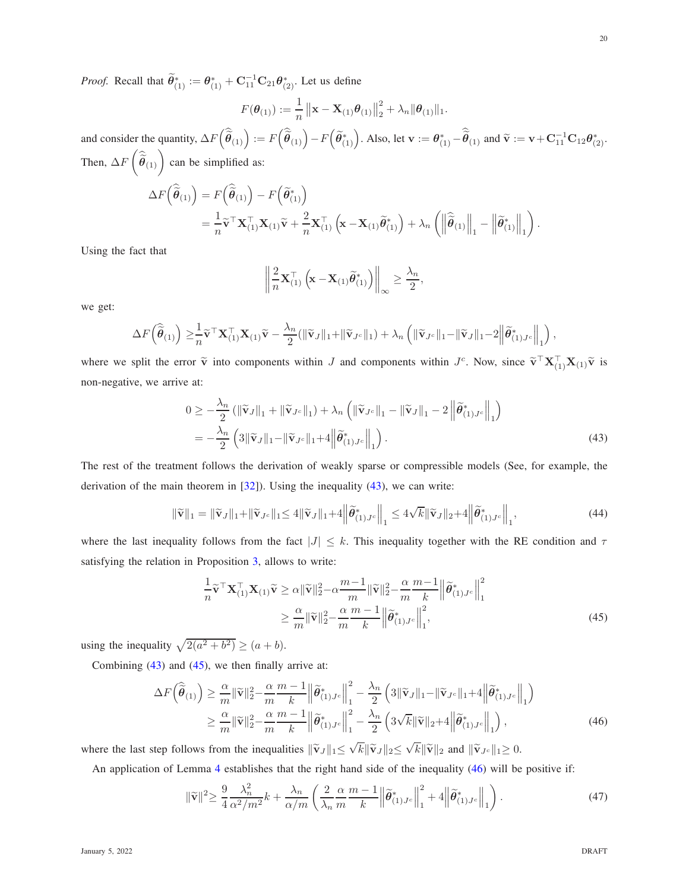*Proof.* Recall that  $\widetilde{\theta}_{(1)}^* := \theta_{(1)}^* + \mathbf{C}_{11}^{-1}\mathbf{C}_{21}\theta_{(2)}^*$ . Let us define

$$
F(\boldsymbol{\theta}_{(1)}) := \frac{1}{n} ||\mathbf{x} - \mathbf{X}_{(1)} \boldsymbol{\theta}_{(1)}||_2^2 + \lambda_n ||\boldsymbol{\theta}_{(1)}||_1.
$$

and consider the quantity,  $\Delta F\left(\hat{\vec{\theta}}_{(1)}\right) := F\left(\hat{\vec{\theta}}_{(1)}\right) - F\left(\hat{\theta}_{(1)}^{*}\right)$ . Also, let  $\mathbf{v} := \theta_{(1)}^{*} - \hat{\vec{\theta}}_{(1)}$  and  $\tilde{\mathbf{v}} := \mathbf{v} + \mathbf{C}_{11}^{-1}\mathbf{C}_{12}\theta_{(2)}^{*}$ . Then,  $\Delta F$  $\sqrt{ }$  $\widehat{\widehat{\theta}}_{(1)}$  can be simplified as:

$$
\Delta F(\hat{\vec{\theta}}_{(1)}) = F(\hat{\vec{\theta}}_{(1)}) - F(\tilde{\theta}_{(1)}^*)
$$
  
=  $\frac{1}{n} \tilde{\mathbf{v}}^\top \mathbf{X}_{(1)}^\top \mathbf{X}_{(1)} \tilde{\mathbf{v}} + \frac{2}{n} \mathbf{X}_{(1)}^\top (\mathbf{x} - \mathbf{X}_{(1)} \tilde{\theta}_{(1)}^*) + \lambda_n \left( \left\| \hat{\vec{\theta}}_{(1)} \right\|_1 - \left\| \tilde{\theta}_{(1)}^* \right\|_1 \right)$ 

Using the fact that

$$
\left\| \frac{2}{n} \mathbf{X}_{(1)}^{\top} \left( \mathbf{x} - \mathbf{X}_{(1)} \widetilde{\boldsymbol{\theta}}_{(1)}^* \right) \right\|_{\infty} \ge \frac{\lambda_n}{2},
$$

we get:

$$
\Delta F(\widehat{\tilde{\boldsymbol{\theta}}}_{(1)}) \geq \frac{1}{n} \widetilde{\mathbf{v}}^{\top} \mathbf{X}_{(1)}^{\top} \mathbf{X}_{(1)} \widetilde{\mathbf{v}} - \frac{\lambda_n}{2} (\|\widetilde{\mathbf{v}}_J\|_1 + \|\widetilde{\mathbf{v}}_{J^c}\|_1) + \lambda_n \left( \|\widetilde{\mathbf{v}}_{J^c}\|_1 - \|\widetilde{\mathbf{v}}_J\|_1 - 2 \left\|\widetilde{\boldsymbol{\theta}}_{(1)J^c}^* \right\|_1 \right),
$$

where we split the error  $\tilde{v}$  into components within J and components within  $J^c$ . Now, since  $\tilde{v}^\top \mathbf{X}_{(1)}^\top \mathbf{X}_{(1)} \tilde{v}$  is non-negative, we arrive at:

$$
0 \geq -\frac{\lambda_n}{2} \left( \left\| \widetilde{\mathbf{v}}_J \right\|_1 + \left\| \widetilde{\mathbf{v}}_{J^c} \right\|_1 \right) + \lambda_n \left( \left\| \widetilde{\mathbf{v}}_{J^c} \right\|_1 - \left\| \widetilde{\mathbf{v}}_J \right\|_1 - 2 \left\| \widetilde{\theta}_{(1)J^c}^* \right\|_1 \right) = -\frac{\lambda_n}{2} \left( 3 \left\| \widetilde{\mathbf{v}}_J \right\|_1 - \left\| \widetilde{\mathbf{v}}_{J^c} \right\|_1 + 4 \left\| \widetilde{\theta}_{(1)J^c}^* \right\|_1 \right).
$$
 (43)

The rest of the treatment follows the derivation of weakly sparse or compressible models (See, for example, the derivation of the main theorem in  $[32]$ ). Using the inequality  $(43)$ , we can write:

$$
\|\widetilde{\mathbf{v}}\|_{1} = \|\widetilde{\mathbf{v}}_{J}\|_{1} + \|\widetilde{\mathbf{v}}_{J^{c}}\|_{1} \le 4\|\widetilde{\mathbf{v}}_{J}\|_{1} + 4\left\|\widetilde{\theta}_{(1)J^{c}}^{*}\right\|_{1} \le 4\sqrt{k}\|\widetilde{\mathbf{v}}_{J}\|_{2} + 4\left\|\widetilde{\theta}_{(1)J^{c}}^{*}\right\|_{1},\tag{44}
$$

where the last inequality follows from the fact  $|J| \leq k$ . This inequality together with the RE condition and  $\tau$ satisfying the relation in Proposition [3,](#page-18-1) allows to write:

<span id="page-19-2"></span>
$$
\frac{1}{n}\widetilde{\mathbf{v}}^{\top}\mathbf{X}_{(1)}^{\top}\mathbf{X}_{(1)}\widetilde{\mathbf{v}} \ge \alpha \|\widetilde{\mathbf{v}}\|_{2}^{2} - \alpha \frac{m-1}{m} \|\widetilde{\mathbf{v}}\|_{2}^{2} - \frac{\alpha}{m} \frac{m-1}{k} \left\|\widetilde{\boldsymbol{\theta}}_{(1)J^{c}}^{*}\right\|_{1}^{2}
$$
\n
$$
\ge \frac{\alpha}{m} \|\widetilde{\mathbf{v}}\|_{2}^{2} - \frac{\alpha}{m} \frac{m-1}{k} \left\|\widetilde{\boldsymbol{\theta}}_{(1)J^{c}}^{*}\right\|_{1}^{2},
$$
\n(45)

using the inequality  $\sqrt{2(a^2 + b^2)} \ge (a + b)$ .

Combining  $(43)$  and  $(45)$ , we then finally arrive at:

$$
\Delta F(\widehat{\tilde{\boldsymbol{\theta}}}_{(1)}) \geq \frac{\alpha}{m} \|\widetilde{\mathbf{v}}\|_{2}^{2} - \frac{\alpha}{m} \frac{m-1}{k} \left\| \widetilde{\boldsymbol{\theta}}_{(1)J^{c}}^{*} \right\|_{1}^{2} - \frac{\lambda_{n}}{2} \left( 3\|\widetilde{\mathbf{v}}_{J}\|_{1} - \|\widetilde{\mathbf{v}}_{J^{c}}\|_{1} + 4\left\| \widetilde{\boldsymbol{\theta}}_{(1)J^{c}}^{*} \right\|_{1} \right) \n\geq \frac{\alpha}{m} \|\widetilde{\mathbf{v}}\|_{2}^{2} - \frac{\alpha}{m} \frac{m-1}{k} \left\| \widetilde{\boldsymbol{\theta}}_{(1)J^{c}}^{*} \right\|_{1}^{2} - \frac{\lambda_{n}}{2} \left( 3\sqrt{k} \|\widetilde{\mathbf{v}}\|_{2} + 4\left\| \widetilde{\boldsymbol{\theta}}_{(1)J^{c}}^{*} \right\|_{1} \right),
$$
\n(46)

where the last step follows from the inequalities  $\|\tilde{\mathbf{v}}_J\|_1 \leq \sqrt{k} \|\tilde{\mathbf{v}}_J\|_2 \leq \sqrt{k} \|\tilde{\mathbf{v}}\|_2$  and  $\|\tilde{\mathbf{v}}_{Jc}\|_1 \geq 0$ .

An application of Lemma [4](#page-23-11) establishes that the right hand side of the inequality [\(46\)](#page-19-2) will be positive if:

$$
\|\widetilde{\mathbf{v}}\|^2 \ge \frac{9}{4} \frac{\lambda_n^2}{\alpha^2/m^2} k + \frac{\lambda_n}{\alpha/m} \left( \frac{2}{\lambda_n} \frac{\alpha}{m} \frac{m-1}{k} \left\| \widetilde{\boldsymbol{\theta}}_{(1)J^c}^* \right\|_1^2 + 4 \left\| \widetilde{\boldsymbol{\theta}}_{(1)J^c}^* \right\|_1 \right). \tag{47}
$$

<span id="page-19-3"></span><span id="page-19-1"></span><span id="page-19-0"></span>.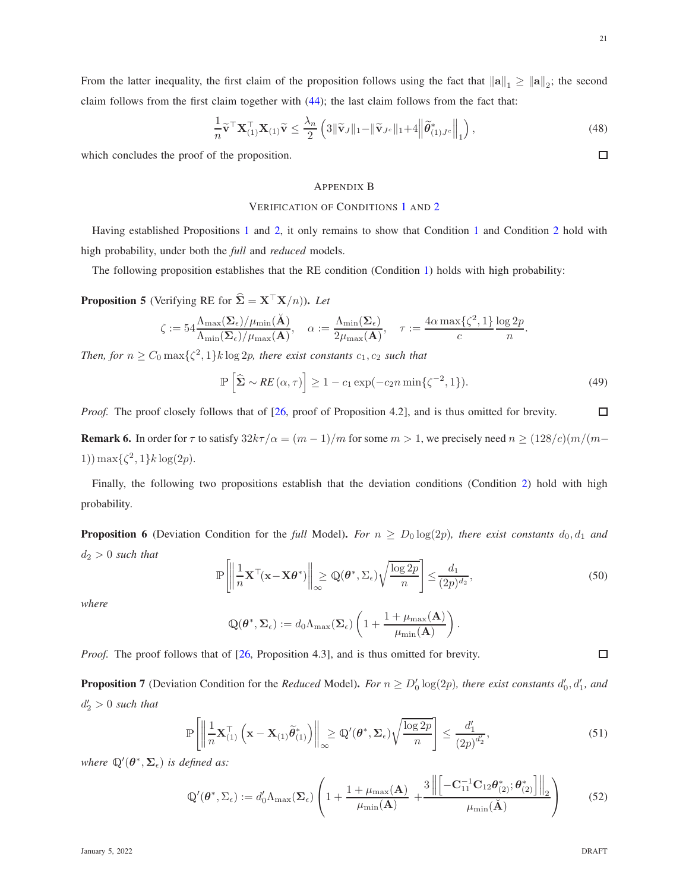From the latter inequality, the first claim of the proposition follows using the fact that  $\|\mathbf{a}\|_1 \ge \|\mathbf{a}\|_2$ ; the second claim follows from the first claim together with  $(44)$ ; the last claim follows from the fact that:

$$
\frac{1}{n}\widetilde{\mathbf{v}}^{\top}\mathbf{X}_{(1)}^{\top}\mathbf{X}_{(1)}\widetilde{\mathbf{v}} \le \frac{\lambda_n}{2} \left( 3\|\widetilde{\mathbf{v}}_J\|_1 - \|\widetilde{\mathbf{v}}_{J^c}\|_1 + 4\left\|\widetilde{\theta}_{(1)J^c}^*\right\|_1 \right),\tag{48}
$$

which concludes the proof of the proposition.

# <span id="page-20-2"></span>APPENDIX B

### VERIFICATION OF CONDITIONS [1](#page-8-4) AND [2](#page-8-5)

Having established Propositions [1](#page-17-1) and [2,](#page-17-2) it only remains to show that Condition [1](#page-8-4) and Condition [2](#page-8-5) hold with high probability, under both the *full* and *reduced* models.

The following proposition establishes that the RE condition (Condition [1\)](#page-8-4) holds with high probability:

<span id="page-20-3"></span>**Proposition 5** (Verifying RE for  $\hat{\Sigma} = \mathbf{X}^\top \mathbf{X}/n$ )). Let

$$
\zeta := 54 \frac{\Lambda_{\max}(\Sigma_{\epsilon})/\mu_{\min}(\tilde{\mathbf{A}})}{\Lambda_{\min}(\Sigma_{\epsilon})/\mu_{\max}(\mathbf{A})}, \quad \alpha := \frac{\Lambda_{\min}(\Sigma_{\epsilon})}{2\mu_{\max}(\mathbf{A})}, \quad \tau := \frac{4\alpha \max\{\zeta^2, 1\}}{c} \frac{\log 2p}{n}.
$$

*Then, for*  $n \geq C_0 \max\{\zeta^2, 1\} k \log 2p$ , there exist constants  $c_1, c_2$  such that

$$
\mathbb{P}\left[\hat{\Sigma} \sim RE\left(\alpha, \tau\right)\right] \ge 1 - c_1 \exp\left(-c_2 n \min\left\{\zeta^{-2}, 1\right\}\right). \tag{49}
$$

*Proof.* The proof closely follows that of [\[26,](#page-24-19) proof of Proposition 4.2], and is thus omitted for brevity.

**Remark 6.** In order for  $\tau$  to satisfy  $32k\tau/\alpha = (m-1)/m$  for some  $m > 1$ , we precisely need  $n \ge (128/c)(m/(m-1)/m)$ 1)) max $\{\zeta^2, 1\}k \log(2p)$ .

Finally, the following two propositions establish that the deviation conditions (Condition [2\)](#page-8-5) hold with high probability.

<span id="page-20-0"></span>**Proposition 6** (Deviation Condition for the *full* Model). For  $n \geq D_0 \log(2p)$ , there exist constants  $d_0, d_1$  and d<sup>2</sup> > 0 *such that*

$$
\mathbb{P}\left[\left\|\frac{1}{n}\mathbf{X}^{\top}(\mathbf{x}-\mathbf{X}\boldsymbol{\theta}^{*})\right\|_{\infty}\geq\mathbb{Q}(\boldsymbol{\theta}^{*},\Sigma_{\epsilon})\sqrt{\frac{\log 2p}{n}}\right]\leq\frac{d_{1}}{(2p)^{d_{2}}},\tag{50}
$$

.

*where*

$$
\mathbb{Q}(\boldsymbol{\theta}^*, \boldsymbol{\Sigma}_{\epsilon}) := d_0 \Lambda_{\max}(\boldsymbol{\Sigma}_{\epsilon}) \left( 1 + \frac{1 + \mu_{\max}(\mathbf{A})}{\mu_{\min}(\mathbf{A})} \right)
$$

*Proof.* The proof follows that of [\[26,](#page-24-19) Proposition 4.3], and is thus omitted for brevity.

<span id="page-20-1"></span>**Proposition 7** (Deviation Condition for the *Reduced* Model). *For*  $n \ge D'_0 \log(2p)$ , there exist constants  $d'_0, d'_1,$  and  $d'_2 > 0$  such that

$$
\mathbb{P}\left[\left\|\frac{1}{n}\mathbf{X}_{(1)}^{\top}\left(\mathbf{x}-\mathbf{X}_{(1)}\widetilde{\boldsymbol{\theta}}_{(1)}^{*}\right)\right\|_{\infty}\geq\mathbb{Q}'(\boldsymbol{\theta}^{*},\boldsymbol{\Sigma}_{\epsilon})\sqrt{\frac{\log 2p}{n}}\right]\leq\frac{d'_{1}}{(2p)^{d'_{2}}},\tag{51}
$$

where  $\mathbb{Q}'(\theta^*, \Sigma_{\epsilon})$  *is defined as:* 

$$
\mathbb{Q}'(\boldsymbol{\theta}^*, \Sigma_{\epsilon}) := d'_0 \Lambda_{\max}(\boldsymbol{\Sigma}_{\epsilon}) \left( 1 + \frac{1 + \mu_{\max}(\mathbf{A})}{\mu_{\min}(\mathbf{A})} + \frac{3 \left\| \left[ -\mathbf{C}_{11}^{-1} \mathbf{C}_{12} \boldsymbol{\theta}_{(2)}^*, \boldsymbol{\theta}_{(2)}^* \right] \right\|_2}{\mu_{\min}(\check{\mathbf{A}})} \right)
$$
(52)

 $\Box$ 

 $\Box$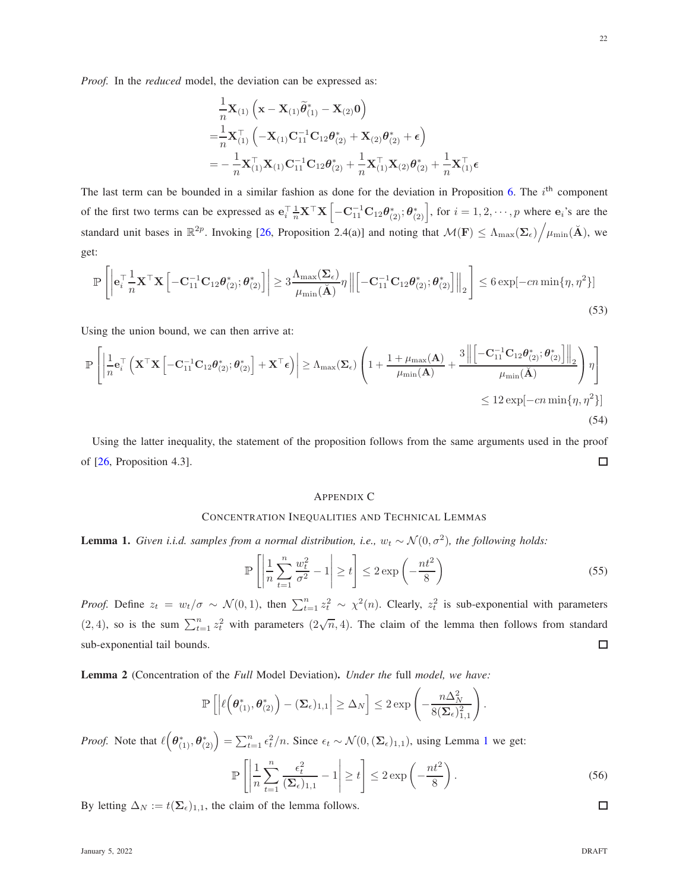*Proof.* In the *reduced* model, the deviation can be expressed as:

$$
\frac{1}{n}\mathbf{X}_{(1)}\left(\mathbf{x}-\mathbf{X}_{(1)}\widetilde{\theta}_{(1)}^{*}-\mathbf{X}_{(2)}\mathbf{0}\right) \n= \frac{1}{n}\mathbf{X}_{(1)}^{\top}\left(-\mathbf{X}_{(1)}\mathbf{C}_{11}^{-1}\mathbf{C}_{12}\theta_{(2)}^{*}+\mathbf{X}_{(2)}\theta_{(2)}^{*}+\boldsymbol{\epsilon}\right) \n= -\frac{1}{n}\mathbf{X}_{(1)}^{\top}\mathbf{X}_{(1)}\mathbf{C}_{11}^{-1}\mathbf{C}_{12}\theta_{(2)}^{*}+\frac{1}{n}\mathbf{X}_{(1)}^{\top}\mathbf{X}_{(2)}\theta_{(2)}^{*}+\frac{1}{n}\mathbf{X}_{(1)}^{\top}
$$

The last term can be bounded in a similar fashion as done for the deviation in Proposition [6.](#page-20-0) The  $i<sup>th</sup>$  component of the first two terms can be expressed as  $\mathbf{e}_{i}^{\top} \frac{1}{n} \mathbf{X}^{\top} \mathbf{X} \left[ -\mathbf{C}_{11}^{-1} \mathbf{C}_{12} \boldsymbol{\theta}_{(2)}^{*} ; \boldsymbol{\theta}_{(2)}^{*} \right]$ , for  $i = 1, 2, \cdots, p$  where  $\mathbf{e}_{i}$ 's are the standard unit bases in  $\mathbb{R}^{2p}$ . Invoking [\[26,](#page-24-19) Proposition 2.4(a)] and noting that  $\mathcal{M}(\mathbf{F}) \leq \Lambda_{\max}(\Sigma_{\epsilon}) / \mu_{\min}(\mathbf{A})$ , we get:

$$
\mathbb{P}\left[\left|\mathbf{e}_{i}^{\top}\frac{1}{n}\mathbf{X}^{\top}\mathbf{X}\left[-\mathbf{C}_{11}^{-1}\mathbf{C}_{12}\boldsymbol{\theta}_{(2)}^{*};\boldsymbol{\theta}_{(2)}^{*}\right]\right|\geq 3\frac{\Lambda_{\max}(\boldsymbol{\Sigma}_{\epsilon})}{\mu_{\min}(\mathbf{A})}\eta\left\|\left[-\mathbf{C}_{11}^{-1}\mathbf{C}_{12}\boldsymbol{\theta}_{(2)}^{*};\boldsymbol{\theta}_{(2)}^{*}\right]\right\|_{2}\right]\leq 6\exp[-cn\min\{\eta,\eta^{2}\}]
$$
\n(53)

Using the union bound, we can then arrive at:

$$
\mathbb{P}\left[\left|\frac{1}{n}\mathbf{e}_{i}^{\top}\left(\mathbf{X}^{\top}\mathbf{X}\left[-\mathbf{C}_{11}^{-1}\mathbf{C}_{12}\boldsymbol{\theta}_{(2)}^{*};\boldsymbol{\theta}_{(2)}^{*}\right]+\mathbf{X}^{\top}\boldsymbol{\epsilon}\right)\right| \geq \Lambda_{\max}(\boldsymbol{\Sigma}_{\epsilon})\left(1+\frac{1+\mu_{\max}(\mathbf{A})}{\mu_{\min}(\mathbf{A})}+\frac{3\left\|\left[-\mathbf{C}_{11}^{-1}\mathbf{C}_{12}\boldsymbol{\theta}_{(2)}^{*};\boldsymbol{\theta}_{(2)}^{*}\right]\right\|_{2}}{\mu_{\min}(\breve{\mathbf{A}})}\right)\eta\right]
$$
  
\$\leq 12 \exp[-cn \min\{\eta, \eta^{2}\}]\tag{54}

Using the latter inequality, the statement of the proposition follows from the same arguments used in the proof of [\[26,](#page-24-19) Proposition 4.3].  $\Box$ 

#### <span id="page-21-0"></span>APPENDIX C

## CONCENTRATION INEQUALITIES AND TECHNICAL LEMMAS

<span id="page-21-2"></span>**Lemma 1.** *Given i.i.d. samples from a normal distribution, i.e.,*  $w_t \sim \mathcal{N}(0, \sigma^2)$ *, the following holds:* 

$$
\mathbb{P}\left[\left|\frac{1}{n}\sum_{t=1}^{n}\frac{w_t^2}{\sigma^2} - 1\right| \ge t\right] \le 2\exp\left(-\frac{nt^2}{8}\right) \tag{55}
$$

 $\epsilon$ 

*Proof.* Define  $z_t = w_t/\sigma \sim \mathcal{N}(0, 1)$ , then  $\sum_{t=1}^n z_t^2 \sim \chi^2(n)$ . Clearly,  $z_t^2$  is sub-exponential with parameters  $(2, 4)$ , so is the sum  $\sum_{t=1}^{n} z_t^2$  with parameters  $(2\sqrt{n}, 4)$ . The claim of the lemma then follows from standard sub-exponential tail bounds.  $\Box$ 

<span id="page-21-1"></span>Lemma 2 (Concentration of the *Full* Model Deviation). *Under the* full *model, we have:*

$$
\mathbb{P}\left[\left|\ell\left(\boldsymbol{\theta}_{(1)}^*,\boldsymbol{\theta}_{(2)}^*\right)-(\boldsymbol{\Sigma}_{\epsilon})_{1,1}\right|\geq\Delta_N\right]\leq 2\exp\left(-\frac{n\Delta_N^2}{8(\boldsymbol{\Sigma}_{\epsilon})_{1,1}^2}\right)
$$

*Proof.* Note that  $\ell\left(\theta_{(1)}^*, \theta_{(2)}^*\right) = \sum_{t=1}^n \epsilon_t^2/n$  $\ell\left(\theta_{(1)}^*, \theta_{(2)}^*\right) = \sum_{t=1}^n \epsilon_t^2/n$  $\ell\left(\theta_{(1)}^*, \theta_{(2)}^*\right) = \sum_{t=1}^n \epsilon_t^2/n$ . Since  $\epsilon_t \sim \mathcal{N}(0, (\Sigma_{\epsilon})_{1,1})$ , using Lemma 1 we get:

$$
\mathbb{P}\left[\left|\frac{1}{n}\sum_{t=1}^{n}\frac{\epsilon_t^2}{(\Sigma_{\epsilon})_{1,1}} - 1\right| \ge t\right] \le 2\exp\left(-\frac{nt^2}{8}\right).
$$
\nClaim of the lemma follows.

\n
$$
\Box
$$

.

By letting  $\Delta_N := t(\Sigma_{\epsilon})_{1,1}$ , the claim of the lemma follows.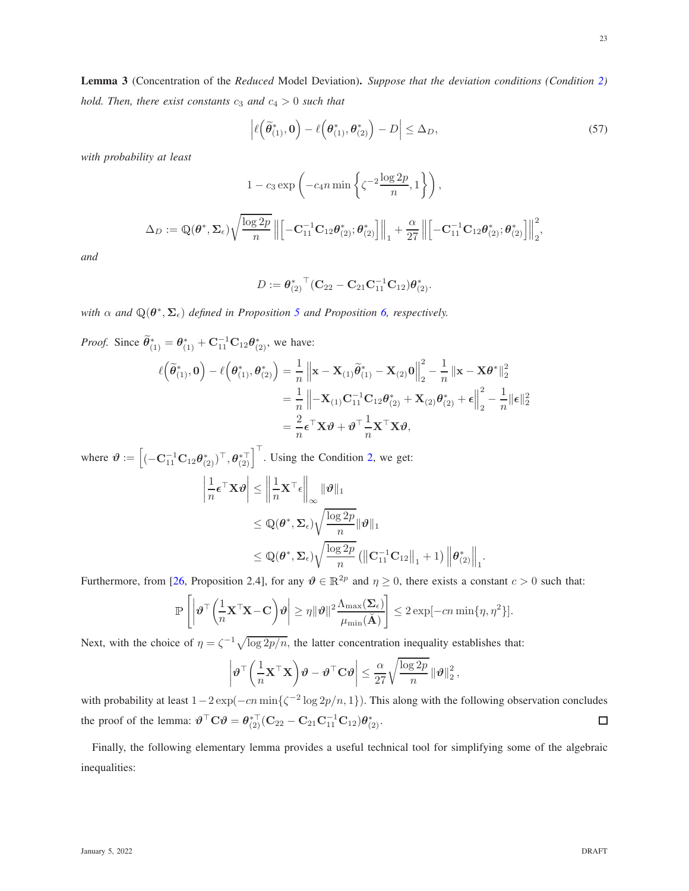<span id="page-22-0"></span>
$$
\left| \ell\left(\widetilde{\boldsymbol{\theta}}_{(1)}^*, \mathbf{0}\right) - \ell\left(\boldsymbol{\theta}_{(1)}^*, \boldsymbol{\theta}_{(2)}^*\right) - D \right| \leq \Delta_D,
$$
\n(57)

*with probability at least*

$$
1 - c_3 \exp\left(-c_4 n \min\left\{\zeta^{-2} \frac{\log 2p}{n}, 1\right\}\right),\,
$$

$$
\Delta_D := \mathbb{Q}(\boldsymbol{\theta}^*, \boldsymbol{\Sigma}_{\epsilon}) \sqrt{\frac{\log 2p}{n}} \left\| \left[ -\mathbf{C}_{11}^{-1} \mathbf{C}_{12} \boldsymbol{\theta}_{(2)}^*; \boldsymbol{\theta}_{(2)}^* \right] \right\|_1 + \frac{\alpha}{27} \left\| \left[ -\mathbf{C}_{11}^{-1} \mathbf{C}_{12} \boldsymbol{\theta}_{(2)}^*; \boldsymbol{\theta}_{(2)}^* \right] \right\|_2^2
$$

*and*

$$
D:=\boldsymbol{\theta}_{(2)}^*{^{\top}}(\mathbf{C}_{22}-\mathbf{C}_{21}\mathbf{C}_{11}^{-1}\mathbf{C}_{12})\boldsymbol{\theta}_{(2)}^*.
$$

*with*  $\alpha$  and  $\mathbb{Q}(\theta^*, \Sigma_{\epsilon})$  *defined in Proposition* [5](#page-20-3) *and Proposition* [6,](#page-20-0) *respectively.* 

*Proof.* Since  $\widetilde{\theta}_{(1)}^* = \theta_{(1)}^* + \mathbf{C}_{11}^{-1} \mathbf{C}_{12} \theta_{(2)}^*$ , we have:

$$
\ell\left(\widetilde{\theta}_{(1)}^*,\mathbf{0}\right) - \ell\left(\theta_{(1)}^*,\theta_{(2)}^*\right) = \frac{1}{n} \left\| \mathbf{x} - \mathbf{X}_{(1)}\widetilde{\theta}_{(1)}^* - \mathbf{X}_{(2)}\mathbf{0} \right\|_2^2 - \frac{1}{n} \left\| \mathbf{x} - \mathbf{X}\theta^* \right\|_2^2
$$

$$
= \frac{1}{n} \left\| -\mathbf{X}_{(1)}\mathbf{C}_{11}^{-1}\mathbf{C}_{12}\theta_{(2)}^* + \mathbf{X}_{(2)}\theta_{(2)}^* + \epsilon \right\|_2^2 - \frac{1}{n} \|\boldsymbol{\epsilon}\|_2^2
$$

$$
= \frac{2}{n} \boldsymbol{\epsilon}^\top \mathbf{X} \boldsymbol{\vartheta} + \boldsymbol{\vartheta}^\top \frac{1}{n} \mathbf{X}^\top \mathbf{X} \boldsymbol{\vartheta},
$$

where  $\boldsymbol{\vartheta} := \left[ (-\mathbf{C}_{11}^{-1} \mathbf{C}_{12} \boldsymbol{\theta}_{(2)}^*)^\top, \boldsymbol{\theta}_{(2)}^{* \top} \right]^\top$ . Using the Condition [2,](#page-8-5) we get:  $\begin{array}{|c|c|} \hline \multicolumn{1}{|c|}{3} & \multicolumn{1}{|c|}{4} \multicolumn{1}{|c|}{5} \multicolumn{1}{|c|}{6} \multicolumn{1}{|c|}{6} \multicolumn{1}{|c|}{6} \multicolumn{1}{|c|}{5} \multicolumn{1}{|c|}{6} \multicolumn{1}{|c|}{6} \multicolumn{1}{|c|}{6} \multicolumn{1}{|c|}{6} \multicolumn{1}{|c|}{6} \multicolumn{1}{|c|}{6} \multicolumn{1}{|c|}{6} \multicolumn{1}{|c|}{6} \multicolumn{1}{|c|$ 1  $\frac{1}{n} \epsilon^\top \mathbf{X} \boldsymbol{\vartheta} \bigg| \leq$  1  $\frac{1}{n}\mathbf{X}^\top \epsilon \bigg\|_{\infty} \|\vartheta\|_1$  $\leq \mathbb{Q}(\boldsymbol{\theta}^*, \boldsymbol{\Sigma}_{\epsilon})$  $\sqrt{\log 2p}$  $\frac{1}{n} \|\boldsymbol{\vartheta}\|_1$  $\leq \mathbb{Q}(\boldsymbol{\theta}^*, \boldsymbol{\Sigma}_{\epsilon})$  $\sqrt{\log 2p}$ n  $\left(\left\|\mathbf{C}_{11}^{-1}\mathbf{C}_{12}\right\|_{1}+1\right)\left\|\pmb{\theta}_{(2)}^{*}\right\|_{1}.$ 

Furthermore, from [\[26,](#page-24-19) Proposition 2.4], for any  $\theta \in \mathbb{R}^{2p}$  and  $\eta \ge 0$ , there exists a constant  $c > 0$  such that:

$$
\mathbb{P}\left[\left|\boldsymbol{\vartheta}^\top\bigg(\frac{1}{n}\mathbf{X}^\top\mathbf{X}-\mathbf{C}\bigg)\boldsymbol{\vartheta}\right|\geq \eta\|\boldsymbol{\vartheta}\|^2\frac{\Lambda_{\max}(\boldsymbol{\Sigma}_{\epsilon})}{\mu_{\min}(\breve{\mathbf{A}})}\right]\leq 2\exp[-cn\min\{\eta,\eta^2\}].
$$

Next, with the choice of  $\eta = \zeta^{-1}\sqrt{\log 2p/n}$ , the latter concentration inequality establishes that:

$$
\left|\boldsymbol{\vartheta}^{\top}\left(\frac{1}{n}\mathbf{X}^{\top}\mathbf{X}\right)\boldsymbol{\vartheta}-\boldsymbol{\vartheta}^{\top}\mathbf{C}\boldsymbol{\vartheta}\right|\leq \frac{\alpha}{27}\sqrt{\frac{\log 2p}{n}}\left\|\boldsymbol{\vartheta}\right\|_{2}^{2},
$$

with probability at least  $1-2\exp(-cn\min{\{\zeta^{-2}\log 2p/n, 1\}})$ . This along with the following observation concludes the proof of the lemma:  $\boldsymbol{\vartheta}^{\top} \mathbf{C} \boldsymbol{\vartheta} = \boldsymbol{\theta}_{(2)}^{*\top} (\mathbf{C}_{22} - \mathbf{C}_{21} \mathbf{C}_{11}^{-1} \mathbf{C}_{12}) \boldsymbol{\theta}_{(2)}^*$ .  $\Box$ 

Finally, the following elementary lemma provides a useful technical tool for simplifying some of the algebraic inequalities: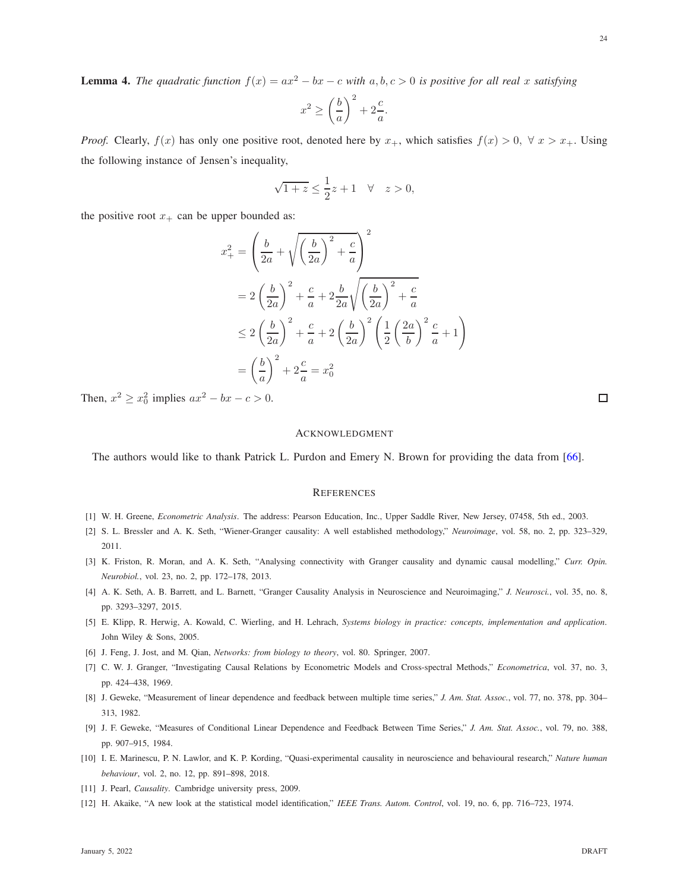<span id="page-23-11"></span>**Lemma 4.** The quadratic function  $f(x) = ax^2 - bx - c$  with  $a, b, c > 0$  is positive for all real x satisfying

$$
x^2 \ge \left(\frac{b}{a}\right)^2 + 2\frac{c}{a}.
$$

*Proof.* Clearly,  $f(x)$  has only one positive root, denoted here by  $x_+$ , which satisfies  $f(x) > 0$ ,  $\forall x > x_+$ . Using the following instance of Jensen's inequality,

$$
\sqrt{1+z} \le \frac{1}{2}z + 1 \quad \forall \quad z > 0,
$$

the positive root  $x_+$  can be upper bounded as:

$$
x_{+}^{2} = \left(\frac{b}{2a} + \sqrt{\left(\frac{b}{2a}\right)^{2} + \frac{c}{a}}\right)^{2}
$$
  
=  $2\left(\frac{b}{2a}\right)^{2} + \frac{c}{a} + 2\frac{b}{2a}\sqrt{\left(\frac{b}{2a}\right)^{2} + \frac{c}{a}}$   
 $\leq 2\left(\frac{b}{2a}\right)^{2} + \frac{c}{a} + 2\left(\frac{b}{2a}\right)^{2}\left(\frac{1}{2}\left(\frac{2a}{b}\right)^{2}\frac{c}{a} + 1\right)$   
=  $\left(\frac{b}{a}\right)^{2} + 2\frac{c}{a} = x_{0}^{2}$ 

Then,  $x^2 \ge x_0^2$  implies  $ax^2 - bx - c > 0$ .

#### ACKNOWLEDGMENT

The authors would like to thank Patrick L. Purdon and Emery N. Brown for providing the data from [\[66\]](#page-25-19).

#### **REFERENCES**

- <span id="page-23-1"></span><span id="page-23-0"></span>[1] W. H. Greene, *Econometric Analysis*. The address: Pearson Education, Inc., Upper Saddle River, New Jersey, 07458, 5th ed., 2003.
- [2] S. L. Bressler and A. K. Seth, "Wiener-Granger causality: A well established methodology," *Neuroimage*, vol. 58, no. 2, pp. 323–329, 2011.
- <span id="page-23-2"></span>[3] K. Friston, R. Moran, and A. K. Seth, "Analysing connectivity with Granger causality and dynamic causal modelling," *Curr. Opin. Neurobiol.*, vol. 23, no. 2, pp. 172–178, 2013.
- <span id="page-23-3"></span>[4] A. K. Seth, A. B. Barrett, and L. Barnett, "Granger Causality Analysis in Neuroscience and Neuroimaging," *J. Neurosci.*, vol. 35, no. 8, pp. 3293–3297, 2015.
- <span id="page-23-4"></span>[5] E. Klipp, R. Herwig, A. Kowald, C. Wierling, and H. Lehrach, *Systems biology in practice: concepts, implementation and application*. John Wiley & Sons, 2005.
- <span id="page-23-5"></span>[6] J. Feng, J. Jost, and M. Qian, *Networks: from biology to theory*, vol. 80. Springer, 2007.
- <span id="page-23-6"></span>[7] C. W. J. Granger, "Investigating Causal Relations by Econometric Models and Cross-spectral Methods," *Econometrica*, vol. 37, no. 3, pp. 424–438, 1969.
- <span id="page-23-7"></span>[8] J. Geweke, "Measurement of linear dependence and feedback between multiple time series," *J. Am. Stat. Assoc.*, vol. 77, no. 378, pp. 304– 313, 1982.
- <span id="page-23-8"></span>[9] J. F. Geweke, "Measures of Conditional Linear Dependence and Feedback Between Time Series," *J. Am. Stat. Assoc.*, vol. 79, no. 388, pp. 907–915, 1984.
- <span id="page-23-9"></span>[10] I. E. Marinescu, P. N. Lawlor, and K. P. Kording, "Quasi-experimental causality in neuroscience and behavioural research," *Nature human behaviour*, vol. 2, no. 12, pp. 891–898, 2018.
- <span id="page-23-10"></span>[11] J. Pearl, *Causality*. Cambridge university press, 2009.
- [12] H. Akaike, "A new look at the statistical model identification," *IEEE Trans. Autom. Control*, vol. 19, no. 6, pp. 716–723, 1974.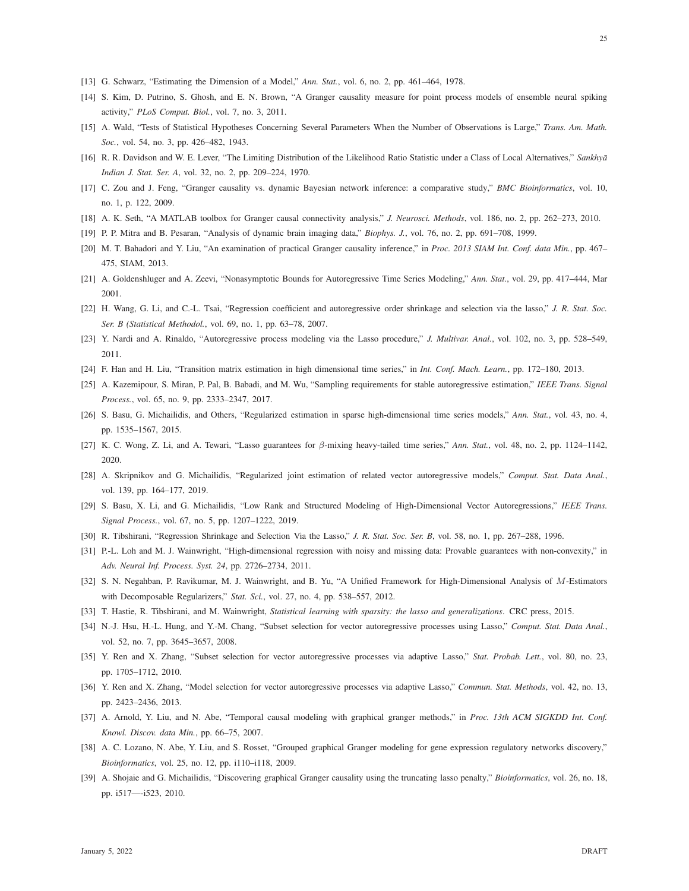- <span id="page-24-1"></span><span id="page-24-0"></span>[13] G. Schwarz, "Estimating the Dimension of a Model," *Ann. Stat.*, vol. 6, no. 2, pp. 461–464, 1978.
- <span id="page-24-16"></span>[14] S. Kim, D. Putrino, S. Ghosh, and E. N. Brown, "A Granger causality measure for point process models of ensemble neural spiking activity," *PLoS Comput. Biol.*, vol. 7, no. 3, 2011.
- <span id="page-24-2"></span>[15] A. Wald, "Tests of Statistical Hypotheses Concerning Several Parameters When the Number of Observations is Large," *Trans. Am. Math. Soc.*, vol. 54, no. 3, pp. 426–482, 1943.
- <span id="page-24-3"></span>[16] R. R. Davidson and W. E. Lever, "The Limiting Distribution of the Likelihood Ratio Statistic under a Class of Local Alternatives," Sankhya *Indian J. Stat. Ser. A*, vol. 32, no. 2, pp. 209–224, 1970.
- <span id="page-24-4"></span>[17] C. Zou and J. Feng, "Granger causality vs. dynamic Bayesian network inference: a comparative study," *BMC Bioinformatics*, vol. 10, no. 1, p. 122, 2009.
- <span id="page-24-5"></span>[18] A. K. Seth, "A MATLAB toolbox for Granger causal connectivity analysis," *J. Neurosci. Methods*, vol. 186, no. 2, pp. 262–273, 2010.
- <span id="page-24-6"></span>[19] P. P. Mitra and B. Pesaran, "Analysis of dynamic brain imaging data," *Biophys. J.*, vol. 76, no. 2, pp. 691–708, 1999.
- <span id="page-24-7"></span>[20] M. T. Bahadori and Y. Liu, "An examination of practical Granger causality inference," in *Proc. 2013 SIAM Int. Conf. data Min.*, pp. 467– 475, SIAM, 2013.
- <span id="page-24-11"></span>[21] A. Goldenshluger and A. Zeevi, "Nonasymptotic Bounds for Autoregressive Time Series Modeling," *Ann. Stat.*, vol. 29, pp. 417–444, Mar 2001.
- [22] H. Wang, G. Li, and C.-L. Tsai, "Regression coefficient and autoregressive order shrinkage and selection via the lasso," *J. R. Stat. Soc. Ser. B (Statistical Methodol.*, vol. 69, no. 1, pp. 63–78, 2007.
- <span id="page-24-17"></span>[23] Y. Nardi and A. Rinaldo, "Autoregressive process modeling via the Lasso procedure," *J. Multivar. Anal.*, vol. 102, no. 3, pp. 528–549, 2011.
- [24] F. Han and H. Liu, "Transition matrix estimation in high dimensional time series," in *Int. Conf. Mach. Learn.*, pp. 172–180, 2013.
- <span id="page-24-19"></span>[25] A. Kazemipour, S. Miran, P. Pal, B. Babadi, and M. Wu, "Sampling requirements for stable autoregressive estimation," *IEEE Trans. Signal Process.*, vol. 65, no. 9, pp. 2333–2347, 2017.
- <span id="page-24-12"></span>[26] S. Basu, G. Michailidis, and Others, "Regularized estimation in sparse high-dimensional time series models," *Ann. Stat.*, vol. 43, no. 4, pp. 1535–1567, 2015.
- <span id="page-24-18"></span>[27] K. C. Wong, Z. Li, and A. Tewari, "Lasso guarantees for β-mixing heavy-tailed time series," *Ann. Stat.*, vol. 48, no. 2, pp. 1124–1142, 2020.
- <span id="page-24-8"></span>[28] A. Skripnikov and G. Michailidis, "Regularized joint estimation of related vector autoregressive models," *Comput. Stat. Data Anal.*, vol. 139, pp. 164–177, 2019.
- <span id="page-24-9"></span>[29] S. Basu, X. Li, and G. Michailidis, "Low Rank and Structured Modeling of High-Dimensional Vector Autoregressions," *IEEE Trans. Signal Process.*, vol. 67, no. 5, pp. 1207–1222, 2019.
- [30] R. Tibshirani, "Regression Shrinkage and Selection Via the Lasso," *J. R. Stat. Soc. Ser. B*, vol. 58, no. 1, pp. 267–288, 1996.
- <span id="page-24-20"></span>[31] P.-L. Loh and M. J. Wainwright, "High-dimensional regression with noisy and missing data: Provable guarantees with non-convexity," in *Adv. Neural Inf. Process. Syst. 24*, pp. 2726–2734, 2011.
- <span id="page-24-10"></span>[32] S. N. Negahban, P. Ravikumar, M. J. Wainwright, and B. Yu, "A Unified Framework for High-Dimensional Analysis of M-Estimators with Decomposable Regularizers," *Stat. Sci.*, vol. 27, no. 4, pp. 538–557, 2012.
- <span id="page-24-13"></span>[33] T. Hastie, R. Tibshirani, and M. Wainwright, *Statistical learning with sparsity: the lasso and generalizations*. CRC press, 2015.
- [34] N.-J. Hsu, H.-L. Hung, and Y.-M. Chang, "Subset selection for vector autoregressive processes using Lasso," *Comput. Stat. Data Anal.*, vol. 52, no. 7, pp. 3645–3657, 2008.
- <span id="page-24-14"></span>[35] Y. Ren and X. Zhang, "Subset selection for vector autoregressive processes via adaptive Lasso," *Stat. Probab. Lett.*, vol. 80, no. 23, pp. 1705–1712, 2010.
- <span id="page-24-15"></span>[36] Y. Ren and X. Zhang, "Model selection for vector autoregressive processes via adaptive Lasso," *Commun. Stat. Methods*, vol. 42, no. 13, pp. 2423–2436, 2013.
- [37] A. Arnold, Y. Liu, and N. Abe, "Temporal causal modeling with graphical granger methods," in *Proc. 13th ACM SIGKDD Int. Conf. Knowl. Discov. data Min.*, pp. 66–75, 2007.
- [38] A. C. Lozano, N. Abe, Y. Liu, and S. Rosset, "Grouped graphical Granger modeling for gene expression regulatory networks discovery," *Bioinformatics*, vol. 25, no. 12, pp. i110–i118, 2009.
- [39] A. Shojaie and G. Michailidis, "Discovering graphical Granger causality using the truncating lasso penalty," *Bioinformatics*, vol. 26, no. 18, pp. i517—-i523, 2010.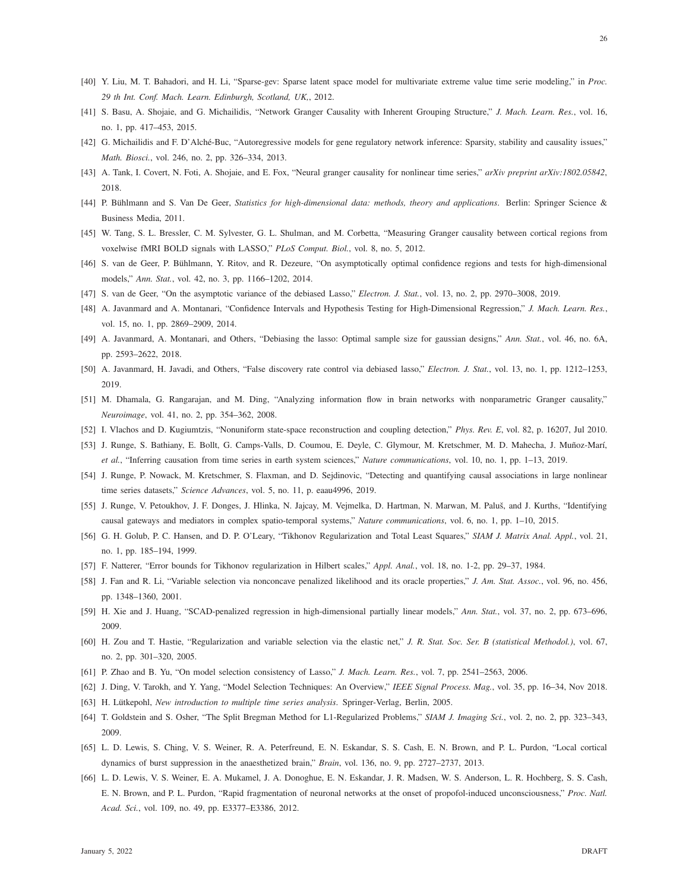- <span id="page-25-1"></span>[40] Y. Liu, M. T. Bahadori, and H. Li, "Sparse-gev: Sparse latent space model for multivariate extreme value time serie modeling," in *Proc. 29 th Int. Conf. Mach. Learn. Edinburgh, Scotland, UK,*, 2012.
- <span id="page-25-0"></span>[41] S. Basu, A. Shojaie, and G. Michailidis, "Network Granger Causality with Inherent Grouping Structure," *J. Mach. Learn. Res.*, vol. 16, no. 1, pp. 417–453, 2015.
- <span id="page-25-2"></span>[42] G. Michailidis and F. D'Alché-Buc, "Autoregressive models for gene regulatory network inference: Sparsity, stability and causality issues," *Math. Biosci.*, vol. 246, no. 2, pp. 326–334, 2013.
- <span id="page-25-3"></span>[43] A. Tank, I. Covert, N. Foti, A. Shojaie, and E. Fox, "Neural granger causality for nonlinear time series," *arXiv preprint arXiv:1802.05842*, 2018.
- [44] P. Bühlmann and S. Van De Geer, *Statistics for high-dimensional data: methods, theory and applications*. Berlin: Springer Science & Business Media, 2011.
- [45] W. Tang, S. L. Bressler, C. M. Sylvester, G. L. Shulman, and M. Corbetta, "Measuring Granger causality between cortical regions from voxelwise fMRI BOLD signals with LASSO," *PLoS Comput. Biol.*, vol. 8, no. 5, 2012.
- [46] S. van de Geer, P. Bühlmann, Y. Ritov, and R. Dezeure, "On asymptotically optimal confidence regions and tests for high-dimensional models," *Ann. Stat.*, vol. 42, no. 3, pp. 1166–1202, 2014.
- [47] S. van de Geer, "On the asymptotic variance of the debiased Lasso," *Electron. J. Stat.*, vol. 13, no. 2, pp. 2970–3008, 2019.
- [48] A. Javanmard and A. Montanari, "Confidence Intervals and Hypothesis Testing for High-Dimensional Regression," *J. Mach. Learn. Res.*, vol. 15, no. 1, pp. 2869–2909, 2014.
- <span id="page-25-4"></span>[49] A. Javanmard, A. Montanari, and Others, "Debiasing the lasso: Optimal sample size for gaussian designs," *Ann. Stat.*, vol. 46, no. 6A, pp. 2593–2622, 2018.
- <span id="page-25-5"></span>[50] A. Javanmard, H. Javadi, and Others, "False discovery rate control via debiased lasso," *Electron. J. Stat.*, vol. 13, no. 1, pp. 1212–1253, 2019.
- <span id="page-25-6"></span>[51] M. Dhamala, G. Rangarajan, and M. Ding, "Analyzing information flow in brain networks with nonparametric Granger causality," *Neuroimage*, vol. 41, no. 2, pp. 354–362, 2008.
- <span id="page-25-7"></span>[52] I. Vlachos and D. Kugiumtzis, "Nonuniform state-space reconstruction and coupling detection," *Phys. Rev. E*, vol. 82, p. 16207, Jul 2010.
- [53] J. Runge, S. Bathiany, E. Bollt, G. Camps-Valls, D. Coumou, E. Deyle, C. Glymour, M. Kretschmer, M. D. Mahecha, J. Muñoz-Marí, *et al.*, "Inferring causation from time series in earth system sciences," *Nature communications*, vol. 10, no. 1, pp. 1–13, 2019.
- <span id="page-25-8"></span>[54] J. Runge, P. Nowack, M. Kretschmer, S. Flaxman, and D. Sejdinovic, "Detecting and quantifying causal associations in large nonlinear time series datasets," *Science Advances*, vol. 5, no. 11, p. eaau4996, 2019.
- <span id="page-25-9"></span>[55] J. Runge, V. Petoukhov, J. F. Donges, J. Hlinka, N. Jajcay, M. Vejmelka, D. Hartman, N. Marwan, M. Paluš, and J. Kurths, "Identifying causal gateways and mediators in complex spatio-temporal systems," *Nature communications*, vol. 6, no. 1, pp. 1–10, 2015.
- <span id="page-25-10"></span>[56] G. H. Golub, P. C. Hansen, and D. P. O'Leary, "Tikhonov Regularization and Total Least Squares," *SIAM J. Matrix Anal. Appl.*, vol. 21, no. 1, pp. 185–194, 1999.
- <span id="page-25-11"></span>[57] F. Natterer, "Error bounds for Tikhonov regularization in Hilbert scales," *Appl. Anal.*, vol. 18, no. 1-2, pp. 29–37, 1984.
- <span id="page-25-12"></span>[58] J. Fan and R. Li, "Variable selection via nonconcave penalized likelihood and its oracle properties," *J. Am. Stat. Assoc.*, vol. 96, no. 456, pp. 1348–1360, 2001.
- <span id="page-25-13"></span>[59] H. Xie and J. Huang, "SCAD-penalized regression in high-dimensional partially linear models," *Ann. Stat.*, vol. 37, no. 2, pp. 673–696, 2009.
- <span id="page-25-14"></span>[60] H. Zou and T. Hastie, "Regularization and variable selection via the elastic net," *J. R. Stat. Soc. Ser. B (statistical Methodol.)*, vol. 67, no. 2, pp. 301–320, 2005.
- <span id="page-25-15"></span>[61] P. Zhao and B. Yu, "On model selection consistency of Lasso," *J. Mach. Learn. Res.*, vol. 7, pp. 2541–2563, 2006.
- <span id="page-25-16"></span>[62] J. Ding, V. Tarokh, and Y. Yang, "Model Selection Techniques: An Overview," *IEEE Signal Process. Mag.*, vol. 35, pp. 16–34, Nov 2018.
- <span id="page-25-17"></span>[63] H. Lütkepohl, *New introduction to multiple time series analysis*. Springer-Verlag, Berlin, 2005.
- <span id="page-25-18"></span>[64] T. Goldstein and S. Osher, "The Split Bregman Method for L1-Regularized Problems," *SIAM J. Imaging Sci.*, vol. 2, no. 2, pp. 323–343, 2009.
- <span id="page-25-19"></span>[65] L. D. Lewis, S. Ching, V. S. Weiner, R. A. Peterfreund, E. N. Eskandar, S. S. Cash, E. N. Brown, and P. L. Purdon, "Local cortical dynamics of burst suppression in the anaesthetized brain," *Brain*, vol. 136, no. 9, pp. 2727–2737, 2013.
- [66] L. D. Lewis, V. S. Weiner, E. A. Mukamel, J. A. Donoghue, E. N. Eskandar, J. R. Madsen, W. S. Anderson, L. R. Hochberg, S. S. Cash, E. N. Brown, and P. L. Purdon, "Rapid fragmentation of neuronal networks at the onset of propofol-induced unconsciousness," *Proc. Natl. Acad. Sci.*, vol. 109, no. 49, pp. E3377–E3386, 2012.